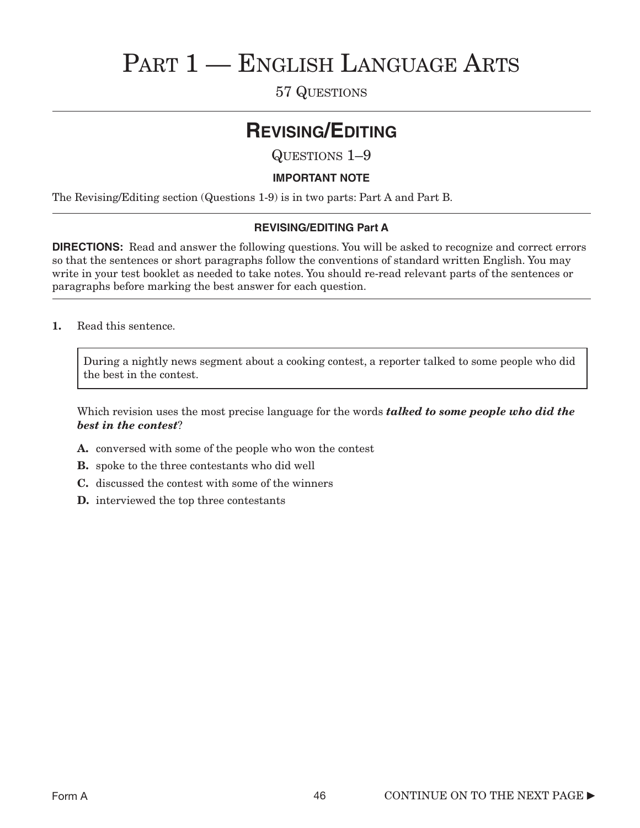# PART 1 - ENGLISH LANGUAGE ARTS

57 QUESTIONS

# **REVISING/EDITING**

QUESTIONS 1–9

### **IMPORTANT NOTE**

The Revising/Editing section (Questions 1-9) is in two parts: Part A and Part B.

### **REVISING/EDITING Part A**

**DIRECTIONS:** Read and answer the following questions. You will be asked to recognize and correct errors so that the sentences or short paragraphs follow the conventions of standard written English. You may write in your test booklet as needed to take notes. You should re-read relevant parts of the sentences or paragraphs before marking the best answer for each question.

1. Read this sentence.

During a nightly news segment about a cooking contest, a reporter talked to some people who did the best in the contest.

Which revision uses the most precise language for the words *talked to some people who did the best in the contest*?

- A. conversed with some of the people who won the contest
- B. spoke to the three contestants who did well
- C. discussed the contest with some of the winners
- D. interviewed the top three contestants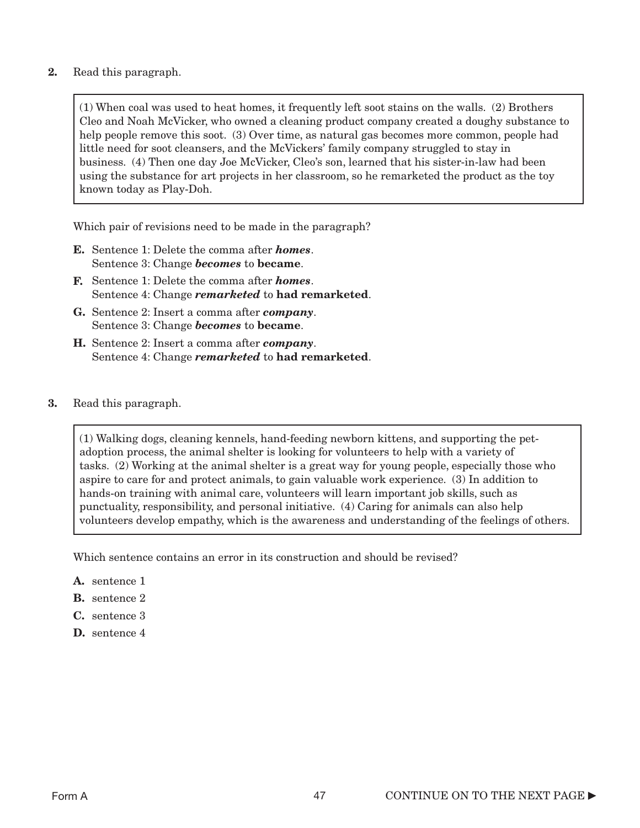2. Read this paragraph.

(1) When coal was used to heat homes, it frequently left soot stains on the walls. (2) Brothers Cleo and Noah McVicker, who owned a cleaning product company created a doughy substance to help people remove this soot. **(3)** Over time, as natural gas becomes more common, people had little need for soot cleansers, and the McVickers' family company struggled to stay in business. (4) Then one day Joe McVicker, Cleo's son, learned that his sister-in-law had been using the substance for art projects in her classroom, so he remarketed the product as the toy known today as Play-Doh.

Which pair of revisions need to be made in the paragraph?

- E. Sentence 1: Delete the comma after *homes*. Sentence 3: Change *becomes* to became.
- F. Sentence 1: Delete the comma after *homes*. Sentence 4: Change *remarketed* to had remarketed.
- G. Sentence 2: Insert a comma after *company*. Sentence 3: Change *becomes* to became.
- H. Sentence 2: Insert a comma after *company*. Sentence 4: Change *remarketed* to had remarketed.
- 3. Read this paragraph.

(1) Walking dogs, cleaning kennels, hand-feeding newborn kittens, and supporting the petadoption process, the animal shelter is looking for volunteers to help with a variety of tasks. (2) Working at the animal shelter is a great way for young people, especially those who aspire to care for and protect animals, to gain valuable work experience. (3) In addition to hands-on training with animal care, volunteers will learn important job skills, such as punctuality, responsibility, and personal initiative. (4) Caring for animals can also help volunteers develop empathy, which is the awareness and understanding of the feelings of others.

Which sentence contains an error in its construction and should be revised?

- A. sentence 1
- B. sentence 2
- C. sentence 3
- D. sentence 4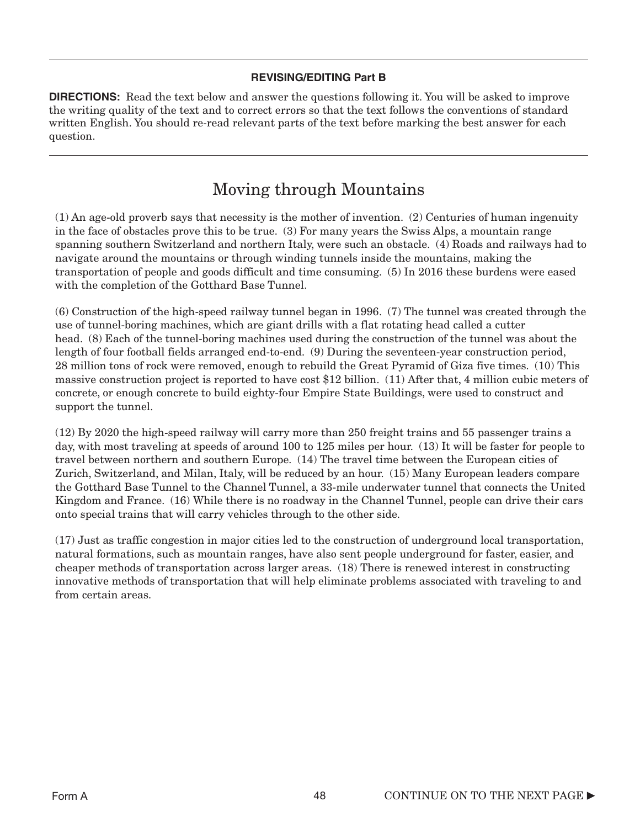### **REVISING/EDITING Part B**

**DIRECTIONS:** Read the text below and answer the questions following it. You will be asked to improve the writing quality of the text and to correct errors so that the text follows the conventions of standard written English. You should re-read relevant parts of the text before marking the best answer for each question.

## Moving through Mountains

(1) An age-old proverb says that necessity is the mother of invention. (2) Centuries of human ingenuity in the face of obstacles prove this to be true. (3) For many years the Swiss Alps, a mountain range spanning southern Switzerland and northern Italy, were such an obstacle. (4) Roads and railways had to navigate around the mountains or through winding tunnels inside the mountains, making the transportation of people and goods difficult and time consuming. (5) In 2016 these burdens were eased with the completion of the Gotthard Base Tunnel.

(6) Construction of the high-speed railway tunnel began in 1996. (7) The tunnel was created through the use of tunnel-boring machines, which are giant drills with a flat rotating head called a cutter head. (8) Each of the tunnel-boring machines used during the construction of the tunnel was about the length of four football fields arranged end-to-end. (9) During the seventeen-year construction period, 28 million tons of rock were removed, enough to rebuild the Great Pyramid of Giza five times. (10) This massive construction project is reported to have cost \$12 billion. (11) After that, 4 million cubic meters of concrete, or enough concrete to build eighty-four Empire State Buildings, were used to construct and support the tunnel.

(12) By 2020 the high-speed railway will carry more than 250 freight trains and 55 passenger trains a day, with most traveling at speeds of around 100 to 125 miles per hour. (13) It will be faster for people to travel between northern and southern Europe. (14) The travel time between the European cities of Zurich, Switzerland, and Milan, Italy, will be reduced by an hour. (15) Many European leaders compare the Gotthard Base Tunnel to the Channel Tunnel, a 33-mile underwater tunnel that connects the United Kingdom and France. (16) While there is no roadway in the Channel Tunnel, people can drive their cars onto special trains that will carry vehicles through to the other side.

(17) Just as traffic congestion in major cities led to the construction of underground local transportation, natural formations, such as mountain ranges, have also sent people underground for faster, easier, and cheaper methods of transportation across larger areas. (18) There is renewed interest in constructing innovative methods of transportation that will help eliminate problems associated with traveling to and from certain areas.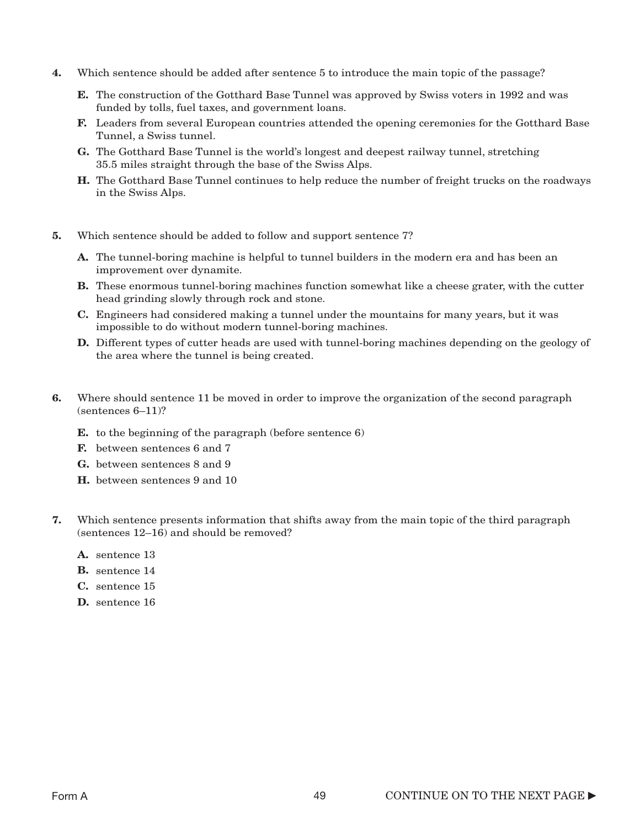- 4. Which sentence should be added after sentence 5 to introduce the main topic of the passage?
	- E. The construction of the Gotthard Base Tunnel was approved by Swiss voters in 1992 and was funded by tolls, fuel taxes, and government loans.
	- F. Leaders from several European countries attended the opening ceremonies for the Gotthard Base Tunnel, a Swiss tunnel.
	- G. The Gotthard Base Tunnel is the world's longest and deepest railway tunnel, stretching 35.5 miles straight through the base of the Swiss Alps.
	- H. The Gotthard Base Tunnel continues to help reduce the number of freight trucks on the roadways in the Swiss Alps.
- 5. Which sentence should be added to follow and support sentence 7?
	- A. The tunnel-boring machine is helpful to tunnel builders in the modern era and has been an improvement over dynamite.
	- **B.** These enormous tunnel-boring machines function somewhat like a cheese grater, with the cutter head grinding slowly through rock and stone.
	- C. Engineers had considered making a tunnel under the mountains for many years, but it was impossible to do without modern tunnel-boring machines.
	- **D.** Different types of cutter heads are used with tunnel-boring machines depending on the geology of the area where the tunnel is being created.
- 6. Where should sentence 11 be moved in order to improve the organization of the second paragraph (sentences 6–11)?
	- E. to the beginning of the paragraph (before sentence 6)
	- F. between sentences 6 and 7
	- G. between sentences 8 and 9
	- H. between sentences 9 and 10
- 7. Which sentence presents information that shifts away from the main topic of the third paragraph (sentences 12–16) and should be removed?
	- A. sentence 13
	- B. sentence 14
	- C. sentence 15
	- D. sentence 16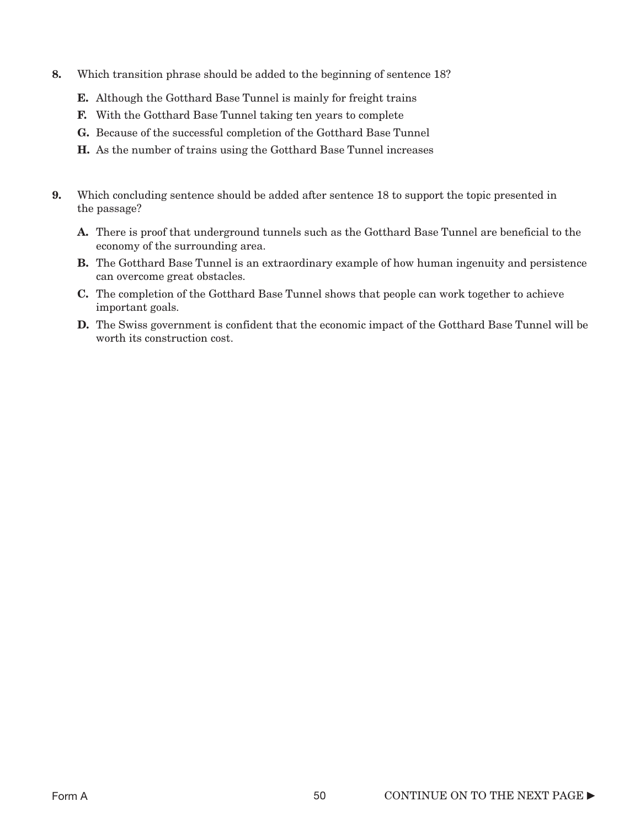- 8. Which transition phrase should be added to the beginning of sentence 18?
	- E. Although the Gotthard Base Tunnel is mainly for freight trains
	- F. With the Gotthard Base Tunnel taking ten years to complete
	- G. Because of the successful completion of the Gotthard Base Tunnel
	- H. As the number of trains using the Gotthard Base Tunnel increases
- 9. Which concluding sentence should be added after sentence 18 to support the topic presented in the passage?
	- A. There is proof that underground tunnels such as the Gotthard Base Tunnel are beneficial to the economy of the surrounding area.
	- B. The Gotthard Base Tunnel is an extraordinary example of how human ingenuity and persistence can overcome great obstacles.
	- C. The completion of the Gotthard Base Tunnel shows that people can work together to achieve important goals.
	- D. The Swiss government is confident that the economic impact of the Gotthard Base Tunnel will be worth its construction cost.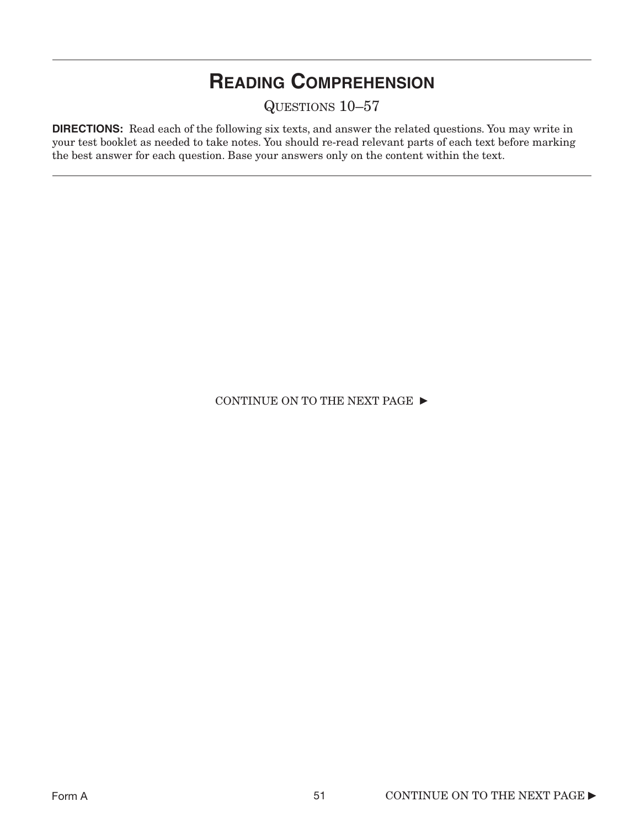# **READING COMPREHENSION**

QUESTIONS 10–57

**DIRECTIONS:** Read each of the following six texts, and answer the related questions. You may write in your test booklet as needed to take notes. You should re-read relevant parts of each text before marking the best answer for each question. Base your answers only on the content within the text.

CONTINUE ON TO THE NEXT PAGE  $\blacktriangleright$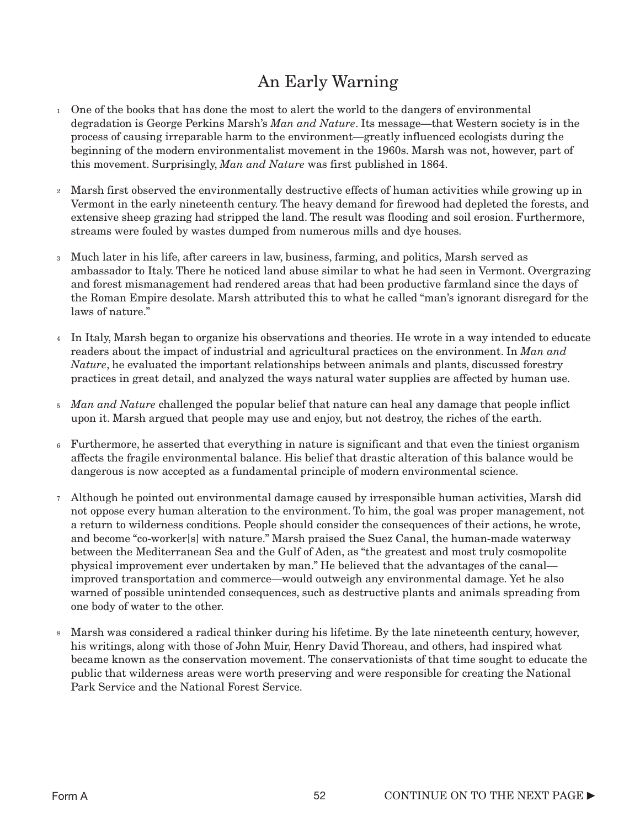# An Early Warning

- One of the books that has done the most to alert the world to the dangers of environmental 1 degradation is George Perkins Marsh's *Man and Nature*. Its message—that Western society is in the process of causing irreparable harm to the environment—greatly influenced ecologists during the beginning of the modern environmentalist movement in the 1960s. Marsh was not, however, part of this movement. Surprisingly, *Man and Nature* was first published in 1864.
- Marsh first observed the environmentally destructive effects of human activities while growing up in 2 Vermont in the early nineteenth century. The heavy demand for firewood had depleted the forests, and extensive sheep grazing had stripped the land. The result was flooding and soil erosion. Furthermore, streams were fouled by wastes dumped from numerous mills and dye houses.
- Much later in his life, after careers in law, business, farming, and politics, Marsh served as 3 ambassador to Italy. There he noticed land abuse similar to what he had seen in Vermont. Overgrazing and forest mismanagement had rendered areas that had been productive farmland since the days of the Roman Empire desolate. Marsh attributed this to what he called "man's ignorant disregard for the laws of nature."
- In Italy, Marsh began to organize his observations and theories. He wrote in a way intended to educate 4 readers about the impact of industrial and agricultural practices on the environment. In *Man and Nature*, he evaluated the important relationships between animals and plants, discussed forestry practices in great detail, and analyzed the ways natural water supplies are affected by human use.
- *Man and Nature* challenged the popular belief that nature can heal any damage that people inflict 5 upon it. Marsh argued that people may use and enjoy, but not destroy, the riches of the earth.
- Furthermore, he asserted that everything in nature is significant and that even the tiniest organism 6 affects the fragile environmental balance. His belief that drastic alteration of this balance would be dangerous is now accepted as a fundamental principle of modern environmental science.
- Although he pointed out environmental damage caused by irresponsible human activities, Marsh did 7 not oppose every human alteration to the environment. To him, the goal was proper management, not a return to wilderness conditions. People should consider the consequences of their actions, he wrote, and become "co-worker[s] with nature." Marsh praised the Suez Canal, the human-made waterway between the Mediterranean Sea and the Gulf of Aden, as "the greatest and most truly cosmopolite physical improvement ever undertaken by man." He believed that the advantages of the canal improved transportation and commerce—would outweigh any environmental damage. Yet he also warned of possible unintended consequences, such as destructive plants and animals spreading from one body of water to the other.
- Marsh was considered a radical thinker during his lifetime. By the late nineteenth century, however, 8his writings, along with those of John Muir, Henry David Thoreau, and others, had inspired what became known as the conservation movement. The conservationists of that time sought to educate the public that wilderness areas were worth preserving and were responsible for creating the National Park Service and the National Forest Service.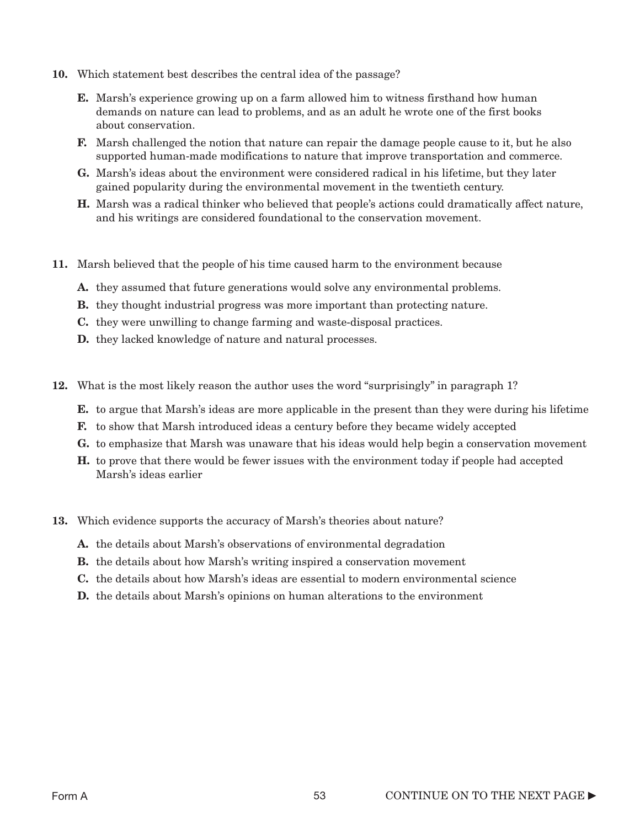- 10. Which statement best describes the central idea of the passage?
	- E. Marsh's experience growing up on a farm allowed him to witness firsthand how human demands on nature can lead to problems, and as an adult he wrote one of the first books about conservation.
	- F. Marsh challenged the notion that nature can repair the damage people cause to it, but he also supported human-made modifications to nature that improve transportation and commerce.
	- G. Marsh's ideas about the environment were considered radical in his lifetime, but they later gained popularity during the environmental movement in the twentieth century.
	- H. Marsh was a radical thinker who believed that people's actions could dramatically affect nature, and his writings are considered foundational to the conservation movement.
- 11. Marsh believed that the people of his time caused harm to the environment because
	- A. they assumed that future generations would solve any environmental problems.
	- B. they thought industrial progress was more important than protecting nature.
	- C. they were unwilling to change farming and waste-disposal practices.
	- D. they lacked knowledge of nature and natural processes.
- 12. What is the most likely reason the author uses the word "surprisingly" in paragraph 1?
	- E. to argue that Marsh's ideas are more applicable in the present than they were during his lifetime
		- F. to show that Marsh introduced ideas a century before they became widely accepted
	- G. to emphasize that Marsh was unaware that his ideas would help begin a conservation movement
	- H. to prove that there would be fewer issues with the environment today if people had accepted Marsh's ideas earlier
- 13. Which evidence supports the accuracy of Marsh's theories about nature?
	- A. the details about Marsh's observations of environmental degradation
	- B. the details about how Marsh's writing inspired a conservation movement
	- C. the details about how Marsh's ideas are essential to modern environmental science
	- D. the details about Marsh's opinions on human alterations to the environment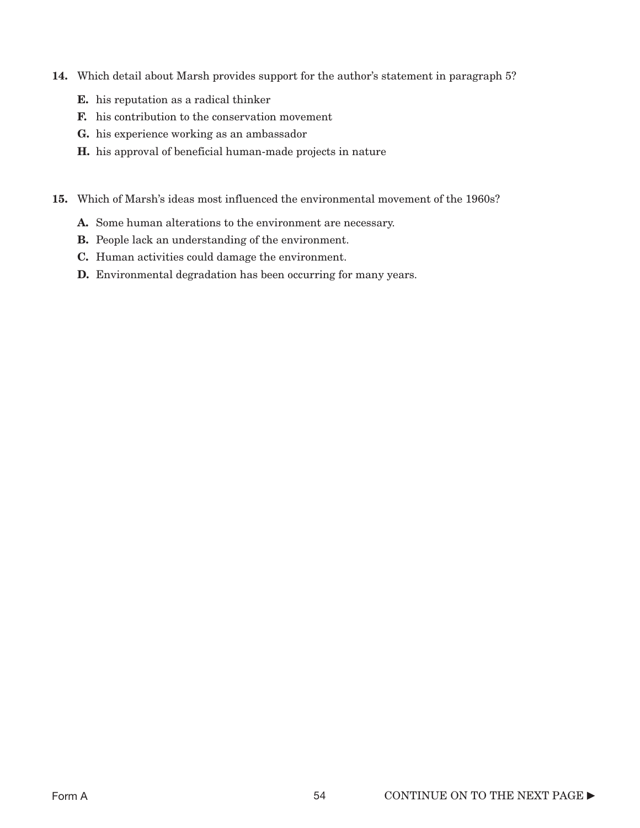- 14. Which detail about Marsh provides support for the author's statement in paragraph 5?
	- E. his reputation as a radical thinker
	- F. his contribution to the conservation movement
	- G. his experience working as an ambassador
	- H. his approval of beneficial human-made projects in nature
- 15. Which of Marsh's ideas most influenced the environmental movement of the 1960s?
	- A. Some human alterations to the environment are necessary.
	- B. People lack an understanding of the environment.
	- C. Human activities could damage the environment.
	- **D.** Environmental degradation has been occurring for many years.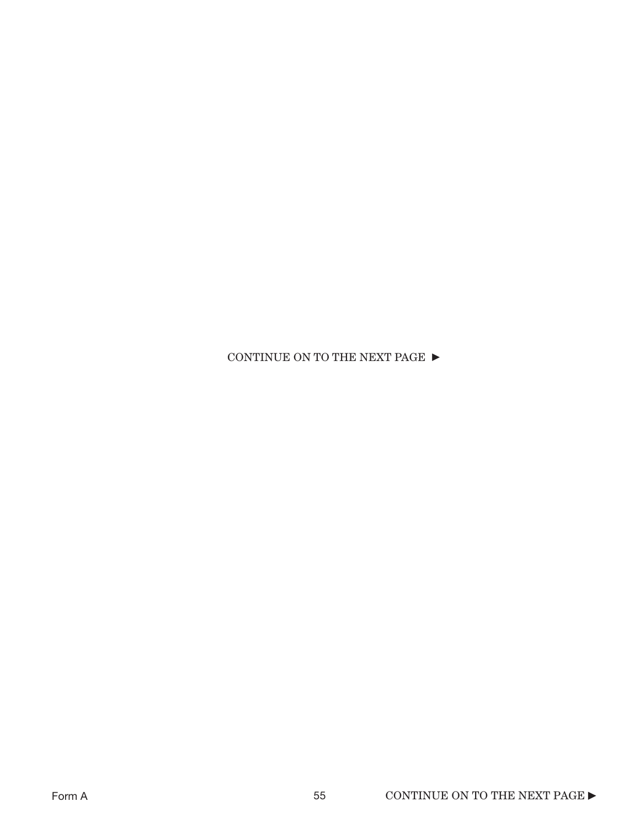CONTINUE ON TO THE NEXT PAGE  $\blacktriangleright$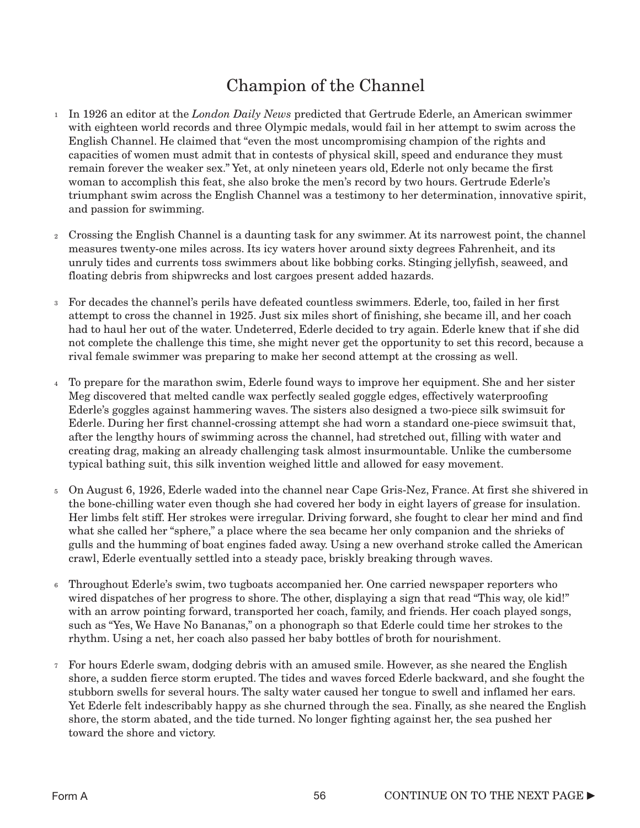# Champion of the Channel

- In 1926 an editor at the *London Daily News* predicted that Gertrude Ederle, an American swimmer 1 with eighteen world records and three Olympic medals, would fail in her attempt to swim across the English Channel. He claimed that "even the most uncompromising champion of the rights and capacities of women must admit that in contests of physical skill, speed and endurance they must remain forever the weaker sex." Yet, at only nineteen years old, Ederle not only became the first woman to accomplish this feat, she also broke the men's record by two hours. Gertrude Ederle's triumphant swim across the English Channel was a testimony to her determination, innovative spirit, and passion for swimming.
- Crossing the English Channel is a daunting task for any swimmer. At its narrowest point, the channel 2 measures twenty-one miles across. Its icy waters hover around sixty degrees Fahrenheit, and its unruly tides and currents toss swimmers about like bobbing corks. Stinging jellyfish, seaweed, and floating debris from shipwrecks and lost cargoes present added hazards.
- For decades the channel's perils have defeated countless swimmers. Ederle, too, failed in her first attempt to cross the channel in 1925. Just six miles short of finishing, she became ill, and her coach had to haul her out of the water. Undeterred, Ederle decided to try again. Ederle knew that if she did not complete the challenge this time, she might never get the opportunity to set this record, because a rival female swimmer was preparing to make her second attempt at the crossing as well. 3
- To prepare for the marathon swim, Ederle found ways to improve her equipment. She and her sister 4 Meg discovered that melted candle wax perfectly sealed goggle edges, effectively waterproofing Ederle's goggles against hammering waves. The sisters also designed a two-piece silk swimsuit for Ederle. During her first channel-crossing attempt she had worn a standard one-piece swimsuit that, after the lengthy hours of swimming across the channel, had stretched out, filling with water and creating drag, making an already challenging task almost insurmountable. Unlike the cumbersome typical bathing suit, this silk invention weighed little and allowed for easy movement.
- On August 6, 1926, Ederle waded into the channel near Cape Gris-Nez, France. At first she shivered in 5 the bone-chilling water even though she had covered her body in eight layers of grease for insulation. Her limbs felt stiff. Her strokes were irregular. Driving forward, she fought to clear her mind and find what she called her "sphere," a place where the sea became her only companion and the shrieks of gulls and the humming of boat engines faded away. Using a new overhand stroke called the American crawl, Ederle eventually settled into a steady pace, briskly breaking through waves.
- Throughout Ederle's swim, two tugboats accompanied her. One carried newspaper reporters who wired dispatches of her progress to shore. The other, displaying a sign that read "This way, ole kid!" with an arrow pointing forward, transported her coach, family, and friends. Her coach played songs, such as "Yes, We Have No Bananas," on a phonograph so that Ederle could time her strokes to the rhythm. Using a net, her coach also passed her baby bottles of broth for nourishment. 6
- For hours Ederle swam, dodging debris with an amused smile. However, as she neared the English 7shore, a sudden fierce storm erupted. The tides and waves forced Ederle backward, and she fought the stubborn swells for several hours. The salty water caused her tongue to swell and inflamed her ears. Yet Ederle felt indescribably happy as she churned through the sea. Finally, as she neared the English shore, the storm abated, and the tide turned. No longer fighting against her, the sea pushed her toward the shore and victory.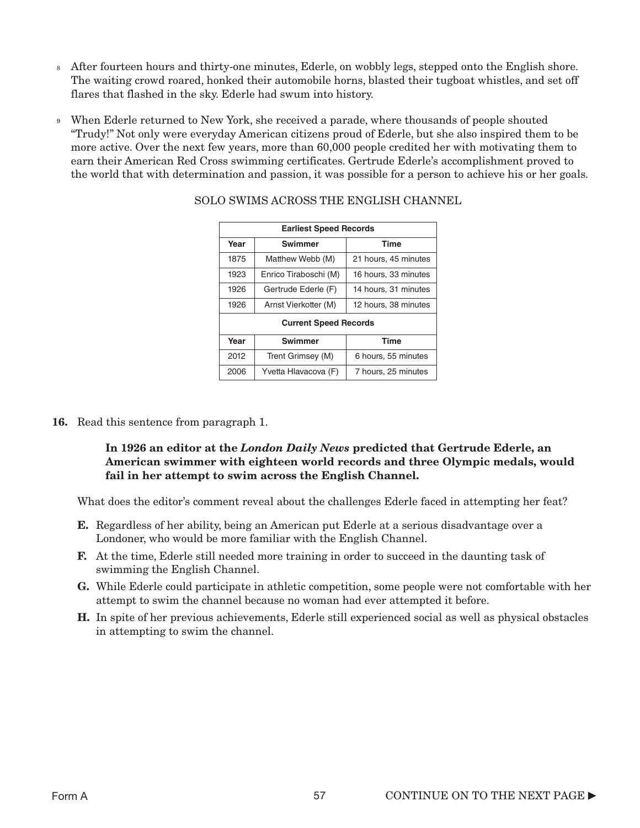- After fourteen hours and thirty-one minutes, Ederle, on wobbly legs, stepped onto the English shore. 8 The waiting crowd roared, honked their automobile horns, blasted their tugboat whistles, and set off flares that flashed in the sky. Ederle had swum into history.
- When Ederle returned to New York, she received a parade, where thousands of people shouted 9 "Trudy!" Not only were everyday American citizens proud of Ederle, but she also inspired them to be more active. Over the next few years, more than 60,000 people credited her with motivating them to earn their American Red Cross swimming certificates. Gertrude Ederle's accomplishment proved to the world that with determination and passion, it was possible for a person to achieve his or her goals.

| <b>Earliest Speed Records</b> |                                                     |                      |  |  |
|-------------------------------|-----------------------------------------------------|----------------------|--|--|
| Year                          | <b>Swimmer</b>                                      | <b>Time</b>          |  |  |
| 1875                          | Matthew Webb (M)                                    | 21 hours, 45 minutes |  |  |
| 1923                          | Enrico Tiraboschi (M)                               | 16 hours, 33 minutes |  |  |
| 1926                          | Gertrude Ederle (F)                                 | 14 hours, 31 minutes |  |  |
| 1926                          | Arnst Vierkotter (M)                                | 12 hours, 38 minutes |  |  |
| <b>Current Speed Records</b>  |                                                     |                      |  |  |
| Year                          | <b>Swimmer</b>                                      | <b>Time</b>          |  |  |
| 2012                          | Trent Grimsey (M)                                   | 6 hours, 55 minutes  |  |  |
|                               | 2006<br>Yvetta Hlavacova (F)<br>7 hours, 25 minutes |                      |  |  |

### SOLO SWIMS ACROSS THE ENGLISH CHANNEL

16. Read this sentence from paragraph 1.

 $\mathbf{r}$ 

#### In 1926 an editor at the *London Daily News* predicted that Gertrude Ederle, an American swimmer with eighteen world records and three Olympic medals, would fail in her attempt to swim across the English Channel.

What does the editor's comment reveal about the challenges Ederle faced in attempting her feat?

- E. Regardless of her ability, being an American put Ederle at a serious disadvantage over a Londoner, who would be more familiar with the English Channel.
- F. At the time, Ederle still needed more training in order to succeed in the daunting task of swimming the English Channel.
- G. While Ederle could participate in athletic competition, some people were not comfortable with her attempt to swim the channel because no woman had ever attempted it before.
- H. In spite of her previous achievements, Ederle still experienced social as well as physical obstacles in attempting to swim the channel.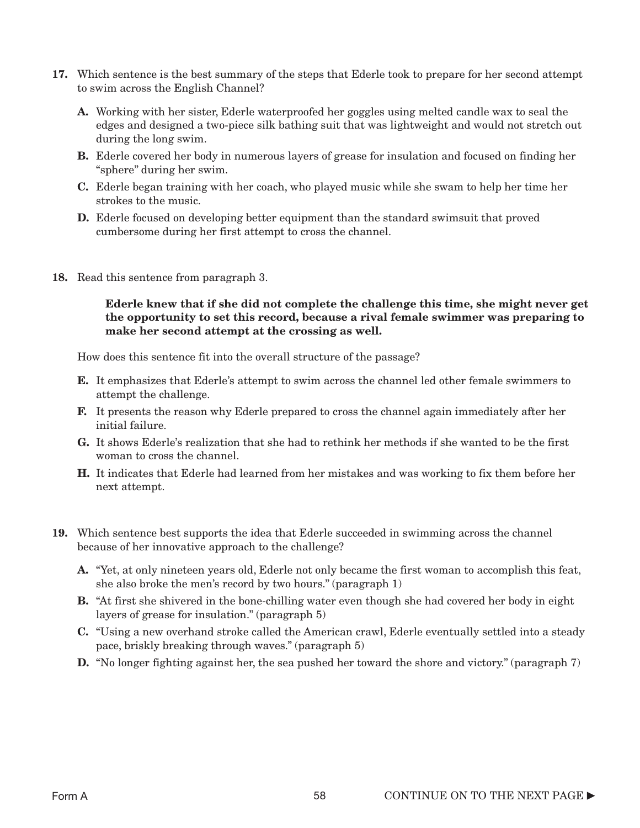- 17. Which sentence is the best summary of the steps that Ederle took to prepare for her second attempt to swim across the English Channel?
	- A. Working with her sister, Ederle waterproofed her goggles using melted candle wax to seal the edges and designed a two-piece silk bathing suit that was lightweight and would not stretch out during the long swim.
	- B. Ederle covered her body in numerous layers of grease for insulation and focused on finding her "sphere" during her swim.
	- C. Ederle began training with her coach, who played music while she swam to help her time her strokes to the music.
	- D. Ederle focused on developing better equipment than the standard swimsuit that proved cumbersome during her first attempt to cross the channel.
- 18. Read this sentence from paragraph 3.

#### Ederle knew that if she did not complete the challenge this time, she might never get the opportunity to set this record, because a rival female swimmer was preparing to make her second attempt at the crossing as well.

How does this sentence fit into the overall structure of the passage?

- E. It emphasizes that Ederle's attempt to swim across the channel led other female swimmers to attempt the challenge.
- F. It presents the reason why Ederle prepared to cross the channel again immediately after her initial failure.
- G. It shows Ederle's realization that she had to rethink her methods if she wanted to be the first woman to cross the channel.
- H. It indicates that Ederle had learned from her mistakes and was working to fix them before her next attempt.
- 19. Which sentence best supports the idea that Ederle succeeded in swimming across the channel because of her innovative approach to the challenge?
	- A. "Yet, at only nineteen years old, Ederle not only became the first woman to accomplish this feat, she also broke the men's record by two hours." (paragraph 1)
	- B. "At first she shivered in the bone-chilling water even though she had covered her body in eight layers of grease for insulation." (paragraph 5)
	- C. "Using a new overhand stroke called the American crawl, Ederle eventually settled into a steady pace, briskly breaking through waves." (paragraph 5)
	- **D.** "No longer fighting against her, the sea pushed her toward the shore and victory." (paragraph 7)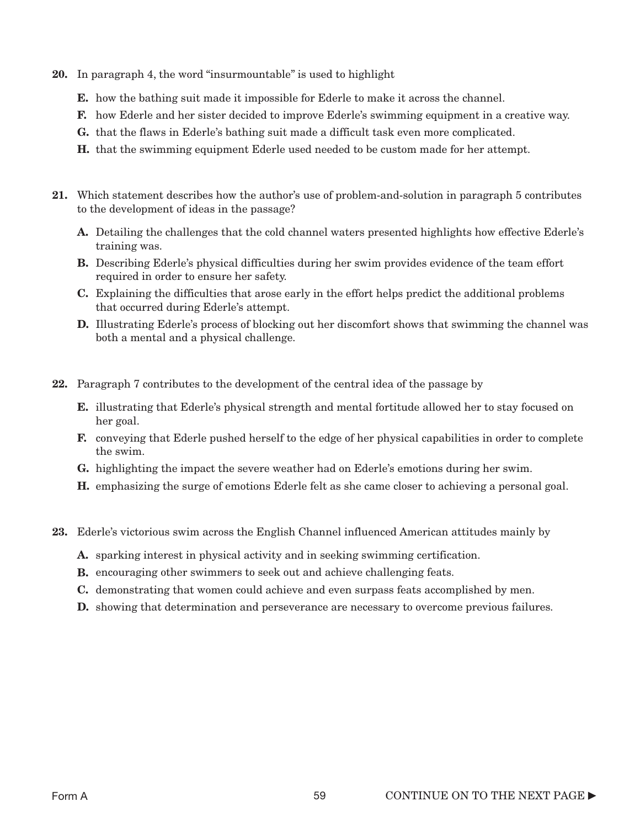- 20. In paragraph 4, the word "insurmountable" is used to highlight
	- E. how the bathing suit made it impossible for Ederle to make it across the channel.
	- F. how Ederle and her sister decided to improve Ederle's swimming equipment in a creative way.
	- G. that the flaws in Ederle's bathing suit made a difficult task even more complicated.
	- H. that the swimming equipment Ederle used needed to be custom made for her attempt.
- 21. Which statement describes how the author's use of problem-and-solution in paragraph 5 contributes to the development of ideas in the passage?
	- A. Detailing the challenges that the cold channel waters presented highlights how effective Ederle's training was.
	- B. Describing Ederle's physical difficulties during her swim provides evidence of the team effort required in order to ensure her safety.
	- C. Explaining the difficulties that arose early in the effort helps predict the additional problems that occurred during Ederle's attempt.
	- D. Illustrating Ederle's process of blocking out her discomfort shows that swimming the channel was both a mental and a physical challenge.
- 22. Paragraph 7 contributes to the development of the central idea of the passage by
	- E. illustrating that Ederle's physical strength and mental fortitude allowed her to stay focused on her goal.
	- F. conveying that Ederle pushed herself to the edge of her physical capabilities in order to complete the swim.
	- G. highlighting the impact the severe weather had on Ederle's emotions during her swim.
	- H. emphasizing the surge of emotions Ederle felt as she came closer to achieving a personal goal.
- 23. Ederle's victorious swim across the English Channel influenced American attitudes mainly by
	- A. sparking interest in physical activity and in seeking swimming certification.
	- B. encouraging other swimmers to seek out and achieve challenging feats.
	- C. demonstrating that women could achieve and even surpass feats accomplished by men.
	- D. showing that determination and perseverance are necessary to overcome previous failures.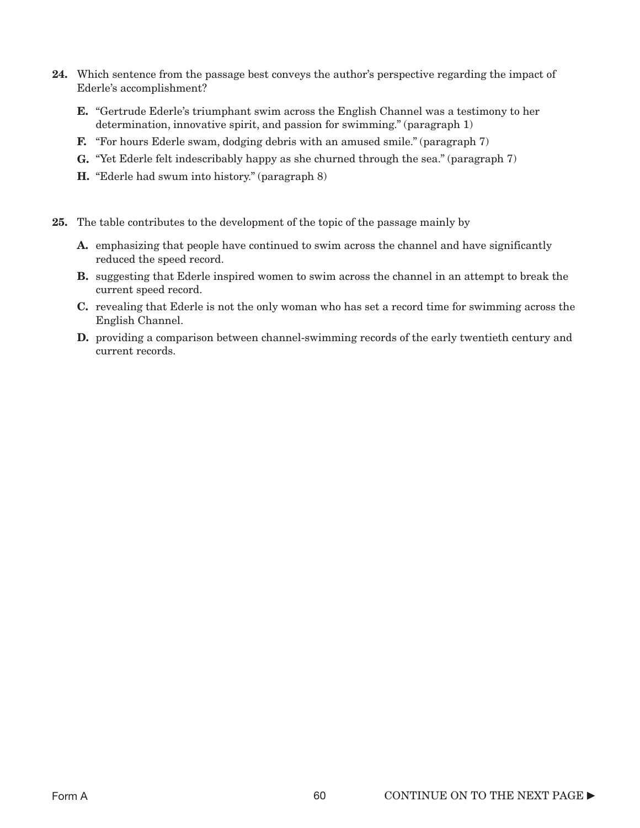- 24. Which sentence from the passage best conveys the author's perspective regarding the impact of Ederle's accomplishment?
	- E. "Gertrude Ederle's triumphant swim across the English Channel was a testimony to her determination, innovative spirit, and passion for swimming." (paragraph 1)
	- F. "For hours Ederle swam, dodging debris with an amused smile." (paragraph 7)
	- G. "Yet Ederle felt indescribably happy as she churned through the sea." (paragraph 7)
	- H. "Ederle had swum into history." (paragraph 8)
- 25. The table contributes to the development of the topic of the passage mainly by
	- A. emphasizing that people have continued to swim across the channel and have significantly reduced the speed record.
	- B. suggesting that Ederle inspired women to swim across the channel in an attempt to break the current speed record.
	- C. revealing that Ederle is not the only woman who has set a record time for swimming across the English Channel.
	- D. providing a comparison between channel-swimming records of the early twentieth century and current records.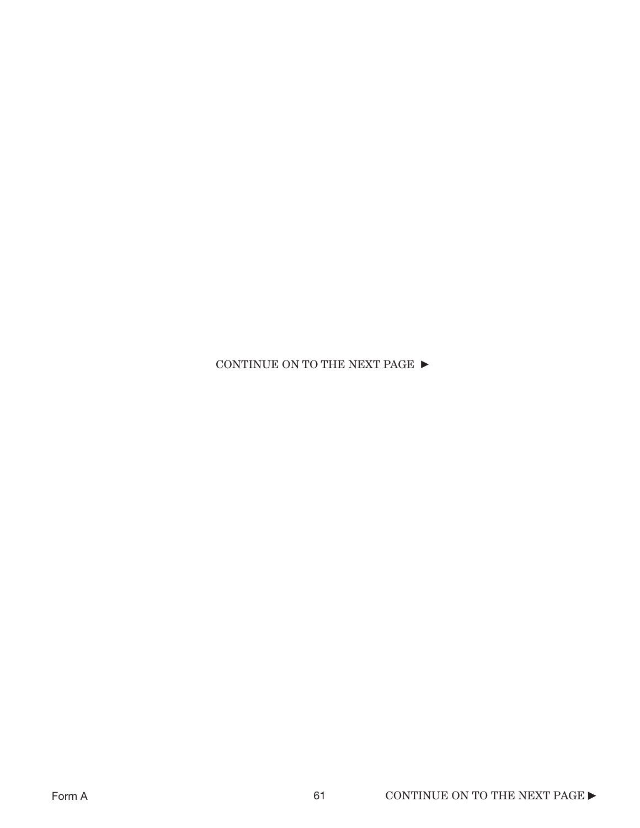CONTINUE ON TO THE NEXT PAGE  $\blacktriangleright$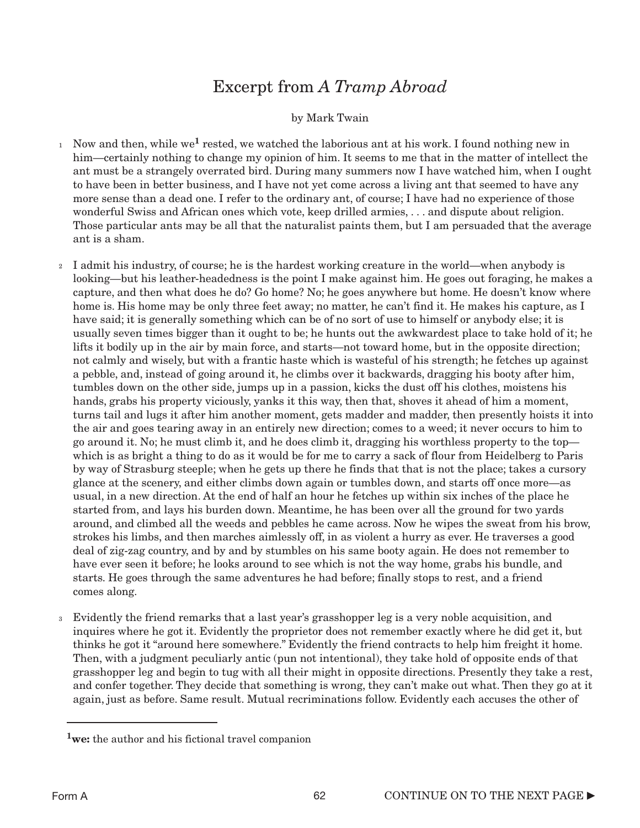# Excerpt from *A Tramp Abroad*

#### by Mark Twain

- <sup>1</sup> Now and then, while we<sup>1</sup> rested, we watched the laborious ant at his work. I found nothing new in him—certainly nothing to change my opinion of him. It seems to me that in the matter of intellect the ant must be a strangely overrated bird. During many summers now I have watched him, when I ought to have been in better business, and I have not yet come across a living ant that seemed to have any more sense than a dead one. I refer to the ordinary ant, of course; I have had no experience of those wonderful Swiss and African ones which vote, keep drilled armies, . . . and dispute about religion. Those particular ants may be all that the naturalist paints them, but I am persuaded that the average ant is a sham.
- I admit his industry, of course; he is the hardest working creature in the world—when anybody is looking—but his leather-headedness is the point I make against him. He goes out foraging, he makes a capture, and then what does he do? Go home? No; he goes anywhere but home. He doesn't know where home is. His home may be only three feet away; no matter, he can't find it. He makes his capture, as I have said; it is generally something which can be of no sort of use to himself or anybody else; it is usually seven times bigger than it ought to be; he hunts out the awkwardest place to take hold of it; he lifts it bodily up in the air by main force, and starts—not toward home, but in the opposite direction; not calmly and wisely, but with a frantic haste which is wasteful of his strength; he fetches up against a pebble, and, instead of going around it, he climbs over it backwards, dragging his booty after him, tumbles down on the other side, jumps up in a passion, kicks the dust off his clothes, moistens his hands, grabs his property viciously, yanks it this way, then that, shoves it ahead of him a moment, turns tail and lugs it after him another moment, gets madder and madder, then presently hoists it into the air and goes tearing away in an entirely new direction; comes to a weed; it never occurs to him to go around it. No; he must climb it, and he does climb it, dragging his worthless property to the top which is as bright a thing to do as it would be for me to carry a sack of flour from Heidelberg to Paris by way of Strasburg steeple; when he gets up there he finds that that is not the place; takes a cursory glance at the scenery, and either climbs down again or tumbles down, and starts off once more—as usual, in a new direction. At the end of half an hour he fetches up within six inches of the place he started from, and lays his burden down. Meantime, he has been over all the ground for two yards around, and climbed all the weeds and pebbles he came across. Now he wipes the sweat from his brow, strokes his limbs, and then marches aimlessly off, in as violent a hurry as ever. He traverses a good deal of zig-zag country, and by and by stumbles on his same booty again. He does not remember to have ever seen it before; he looks around to see which is not the way home, grabs his bundle, and starts. He goes through the same adventures he had before; finally stops to rest, and a friend comes along. 2
- Evidently the friend remarks that a last year's grasshopper leg is a very noble acquisition, and 3inquires where he got it. Evidently the proprietor does not remember exactly where he did get it, but thinks he got it "around here somewhere." Evidently the friend contracts to help him freight it home. Then, with a judgment peculiarly antic (pun not intentional), they take hold of opposite ends of that grasshopper leg and begin to tug with all their might in opposite directions. Presently they take a rest, and confer together. They decide that something is wrong, they can't make out what. Then they go at it again, just as before. Same result. Mutual recriminations follow. Evidently each accuses the other of

<sup>&</sup>lt;sup>1</sup>we: the author and his fictional travel companion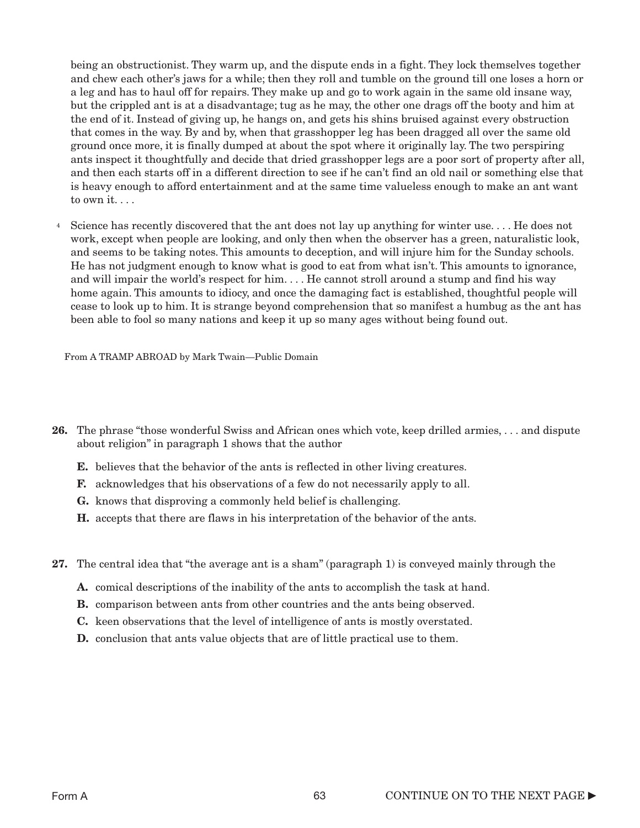being an obstructionist. They warm up, and the dispute ends in a fight. They lock themselves together and chew each other's jaws for a while; then they roll and tumble on the ground till one loses a horn or a leg and has to haul off for repairs. They make up and go to work again in the same old insane way, but the crippled ant is at a disadvantage; tug as he may, the other one drags off the booty and him at the end of it. Instead of giving up, he hangs on, and gets his shins bruised against every obstruction that comes in the way. By and by, when that grasshopper leg has been dragged all over the same old ground once more, it is finally dumped at about the spot where it originally lay. The two perspiring ants inspect it thoughtfully and decide that dried grasshopper legs are a poor sort of property after all, and then each starts off in a different direction to see if he can't find an old nail or something else that is heavy enough to afford entertainment and at the same time valueless enough to make an ant want to own it...

<sup>4</sup> Science has recently discovered that the ant does not lay up anything for winter use.... He does not work, except when people are looking, and only then when the observer has a green, naturalistic look, and seems to be taking notes. This amounts to deception, and will injure him for the Sunday schools. He has not judgment enough to know what is good to eat from what isn't. This amounts to ignorance, and will impair the world's respect for him. . . . He cannot stroll around a stump and find his way home again. This amounts to idiocy, and once the damaging fact is established, thoughtful people will cease to look up to him. It is strange beyond comprehension that so manifest a humbug as the ant has been able to fool so many nations and keep it up so many ages without being found out.

From A TRAMP ABROAD by Mark Twain—Public Domain

- 26. The phrase "those wonderful Swiss and African ones which vote, keep drilled armies, . . . and dispute about religion" in paragraph 1 shows that the author
	- E. believes that the behavior of the ants is reflected in other living creatures.
	- F. acknowledges that his observations of a few do not necessarily apply to all.
	- G. knows that disproving a commonly held belief is challenging.
	- H. accepts that there are flaws in his interpretation of the behavior of the ants.
- 27. The central idea that "the average ant is a sham" (paragraph 1) is conveyed mainly through the
	- A. comical descriptions of the inability of the ants to accomplish the task at hand.
	- B. comparison between ants from other countries and the ants being observed.
	- C. keen observations that the level of intelligence of ants is mostly overstated.
	- D. conclusion that ants value objects that are of little practical use to them.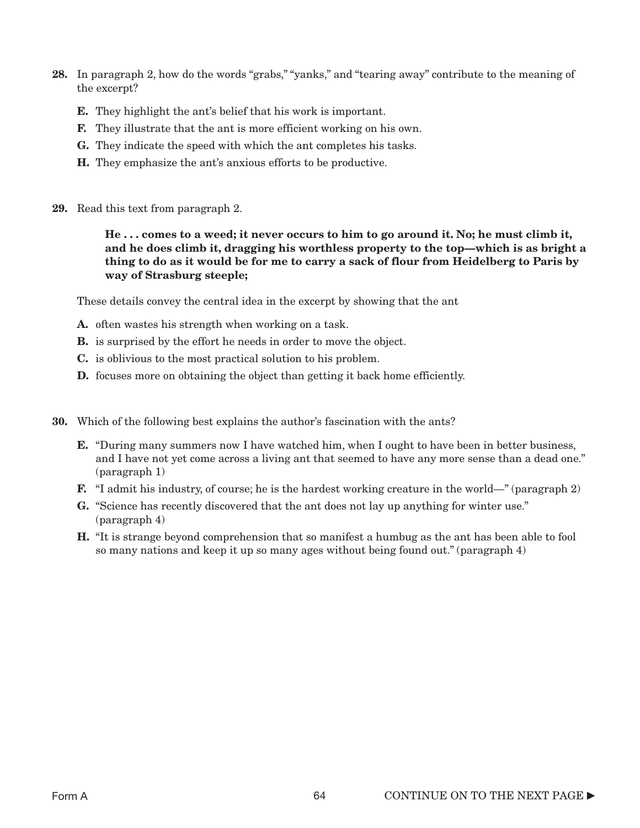- 28. In paragraph 2, how do the words "grabs," "yanks," and "tearing away" contribute to the meaning of the excerpt?
	- E. They highlight the ant's belief that his work is important.
	- F. They illustrate that the ant is more efficient working on his own.
	- G. They indicate the speed with which the ant completes his tasks.
	- H. They emphasize the ant's anxious efforts to be productive.
- 29. Read this text from paragraph 2.

He . . . comes to a weed; it never occurs to him to go around it. No; he must climb it, and he does climb it, dragging his worthless property to the top—which is as bright a thing to do as it would be for me to carry a sack of flour from Heidelberg to Paris by way of Strasburg steeple;

These details convey the central idea in the excerpt by showing that the ant

- A. often wastes his strength when working on a task.
- B. is surprised by the effort he needs in order to move the object.
- C. is oblivious to the most practical solution to his problem.
- D. focuses more on obtaining the object than getting it back home efficiently.
- 30. Which of the following best explains the author's fascination with the ants?
	- **E.** "During many summers now I have watched him, when I ought to have been in better business, and I have not yet come across a living ant that seemed to have any more sense than a dead one." (paragraph 1)
	- F. "I admit his industry, of course; he is the hardest working creature in the world—" (paragraph 2)
	- G. "Science has recently discovered that the ant does not lay up anything for winter use." (paragraph 4)
	- H. "It is strange beyond comprehension that so manifest a humbug as the ant has been able to fool so many nations and keep it up so many ages without being found out." (paragraph 4)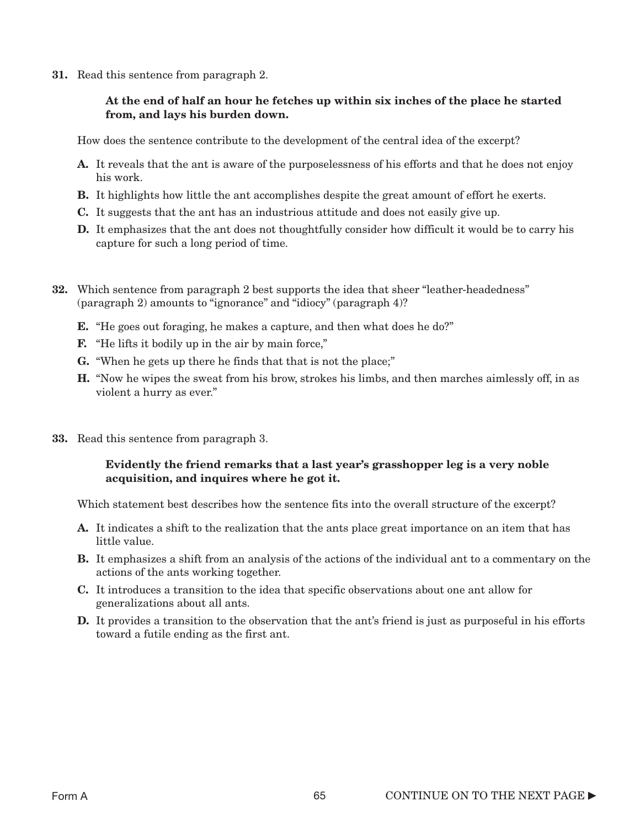31. Read this sentence from paragraph 2.

### At the end of half an hour he fetches up within six inches of the place he started from, and lays his burden down.

How does the sentence contribute to the development of the central idea of the excerpt?

- A. It reveals that the ant is aware of the purposelessness of his efforts and that he does not enjoy his work.
- B. It highlights how little the ant accomplishes despite the great amount of effort he exerts.
- C. It suggests that the ant has an industrious attitude and does not easily give up.
- **D.** It emphasizes that the ant does not thoughtfully consider how difficult it would be to carry his capture for such a long period of time.
- 32. Which sentence from paragraph 2 best supports the idea that sheer "leather-headedness" (paragraph 2) amounts to "ignorance" and "idiocy" (paragraph 4)?
	- E. "He goes out foraging, he makes a capture, and then what does he do?"
	- **F.** "He lifts it bodily up in the air by main force,"
	- G. "When he gets up there he finds that that is not the place;"
	- H. "Now he wipes the sweat from his brow, strokes his limbs, and then marches aimlessly off, in as violent a hurry as ever."
- 33. Read this sentence from paragraph 3.

### Evidently the friend remarks that a last year's grasshopper leg is a very noble acquisition, and inquires where he got it.

Which statement best describes how the sentence fits into the overall structure of the excerpt?

- A. It indicates a shift to the realization that the ants place great importance on an item that has little value.
- B. It emphasizes a shift from an analysis of the actions of the individual ant to a commentary on the actions of the ants working together.
- C. It introduces a transition to the idea that specific observations about one ant allow for generalizations about all ants.
- D. It provides a transition to the observation that the ant's friend is just as purposeful in his efforts toward a futile ending as the first ant.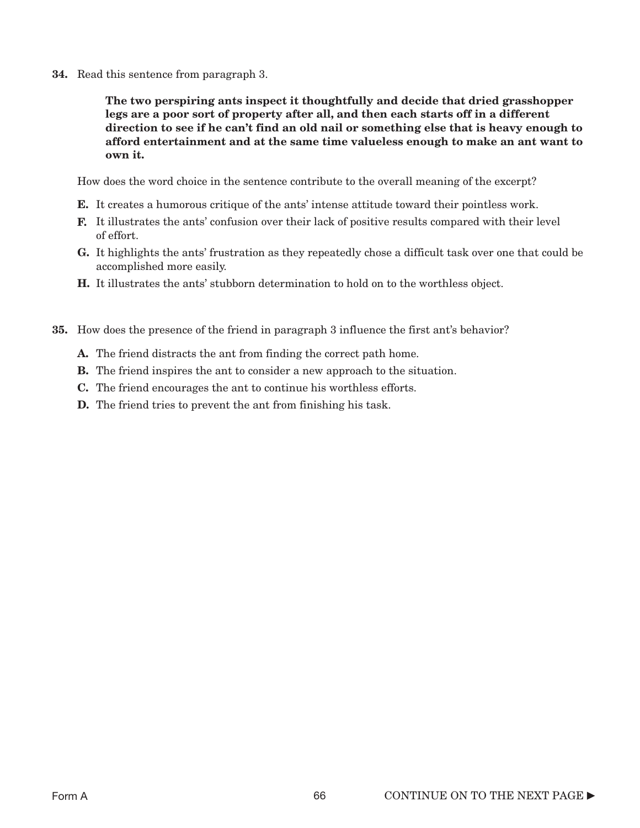34. Read this sentence from paragraph 3.

The two perspiring ants inspect it thoughtfully and decide that dried grasshopper legs are a poor sort of property after all, and then each starts off in a different direction to see if he can't find an old nail or something else that is heavy enough to afford entertainment and at the same time valueless enough to make an ant want to own it.

How does the word choice in the sentence contribute to the overall meaning of the excerpt?

- E. It creates a humorous critique of the ants' intense attitude toward their pointless work.
- F. It illustrates the ants' confusion over their lack of positive results compared with their level of effort.
- G. It highlights the ants' frustration as they repeatedly chose a difficult task over one that could be accomplished more easily.
- H. It illustrates the ants' stubborn determination to hold on to the worthless object.
- 35. How does the presence of the friend in paragraph 3 influence the first ant's behavior?
	- A. The friend distracts the ant from finding the correct path home.
	- **B.** The friend inspires the ant to consider a new approach to the situation.
	- C. The friend encourages the ant to continue his worthless efforts.
	- **D.** The friend tries to prevent the ant from finishing his task.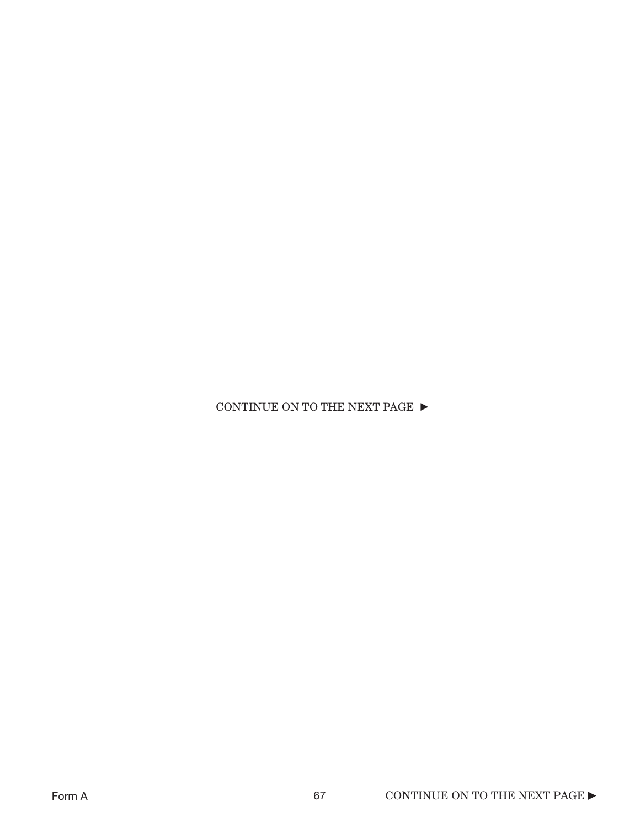CONTINUE ON TO THE NEXT PAGE  $\blacktriangleright$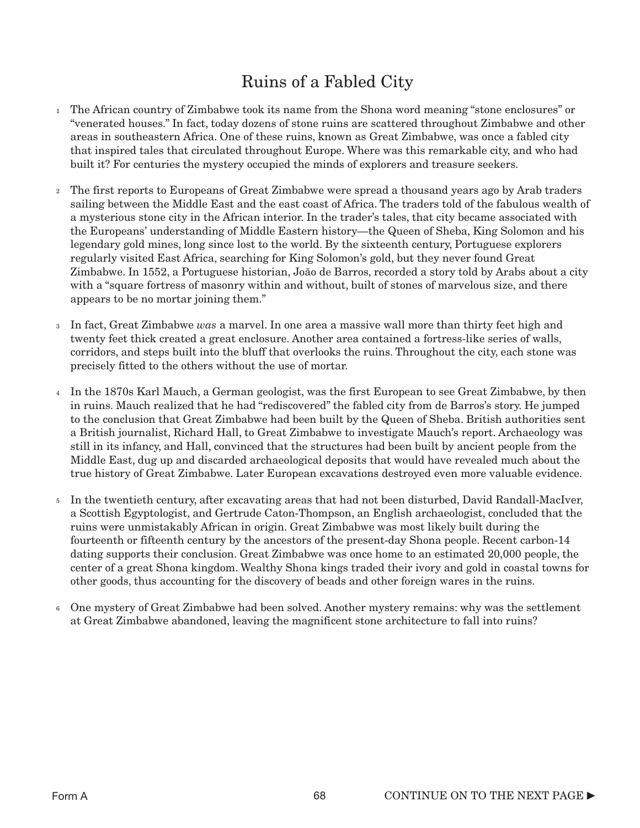# Ruins of a Fabled City

- <sup>1</sup> The African country of Zimbabwe took its name from the Shona word meaning "stone enclosures" or "venerated houses." In fact, today dozens of stone ruins are scattered throughout Zimbabwe and other areas in southeastern Africa. One of these ruins, known as Great Zimbabwe, was once a fabled city that inspired tales that circulated throughout Europe. Where was this remarkable city, and who had built it? For centuries the mystery occupied the minds of explorers and treasure seekers.
- The first reports to Europeans of Great Zimbabwe were spread a thousand years ago by Arab traders 2 sailing between the Middle East and the east coast of Africa. The traders told of the fabulous wealth of a mysterious stone city in the African interior. In the trader's tales, that city became associated with the Europeans' understanding of Middle Eastern history—the Queen of Sheba, King Solomon and his legendary gold mines, long since lost to the world. By the sixteenth century, Portuguese explorers regularly visited East Africa, searching for King Solomon's gold, but they never found Great Zimbabwe. In 1552, a Portuguese historian, João de Barros, recorded a story told by Arabs about a city with a "square fortress of masonry within and without, built of stones of marvelous size, and there appears to be no mortar joining them."
- In fact, Great Zimbabwe *was* a marvel. In one area a massive wall more than thirty feet high and 3 twenty feet thick created a great enclosure. Another area contained a fortress-like series of walls, corridors, and steps built into the bluff that overlooks the ruins. Throughout the city, each stone was precisely fitted to the others without the use of mortar.
- In the 1870s Karl Mauch, a German geologist, was the first European to see Great Zimbabwe, by then 4 in ruins. Mauch realized that he had "rediscovered" the fabled city from de Barros's story. He jumped to the conclusion that Great Zimbabwe had been built by the Queen of Sheba. British authorities sent a British journalist, Richard Hall, to Great Zimbabwe to investigate Mauch's report. Archaeology was still in its infancy, and Hall, convinced that the structures had been built by ancient people from the Middle East, dug up and discarded archaeological deposits that would have revealed much about the true history of Great Zimbabwe. Later European excavations destroyed even more valuable evidence.
- In the twentieth century, after excavating areas that had not been disturbed, David Randall-MacIver, 5 a Scottish Egyptologist, and Gertrude Caton-Thompson, an English archaeologist, concluded that the ruins were unmistakably African in origin. Great Zimbabwe was most likely built during the fourteenth or fifteenth century by the ancestors of the present-day Shona people. Recent carbon-14 dating supports their conclusion. Great Zimbabwe was once home to an estimated 20,000 people, the center of a great Shona kingdom. Wealthy Shona kings traded their ivory and gold in coastal towns for other goods, thus accounting for the discovery of beads and other foreign wares in the ruins.
- One mystery of Great Zimbabwe had been solved. Another mystery remains: why was the settlement 6at Great Zimbabwe abandoned, leaving the magnificent stone architecture to fall into ruins?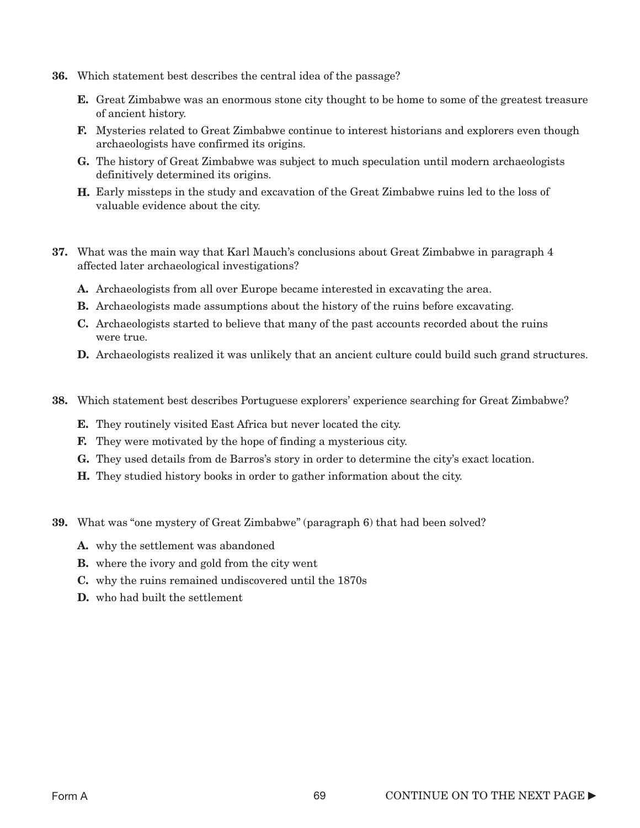- 36. Which statement best describes the central idea of the passage?
	- E. Great Zimbabwe was an enormous stone city thought to be home to some of the greatest treasure of ancient history.
	- F. Mysteries related to Great Zimbabwe continue to interest historians and explorers even though archaeologists have confirmed its origins.
	- G. The history of Great Zimbabwe was subject to much speculation until modern archaeologists definitively determined its origins.
	- H. Early missteps in the study and excavation of the Great Zimbabwe ruins led to the loss of valuable evidence about the city.
- 37. What was the main way that Karl Mauch's conclusions about Great Zimbabwe in paragraph 4 affected later archaeological investigations?
	- A. Archaeologists from all over Europe became interested in excavating the area.
	- B. Archaeologists made assumptions about the history of the ruins before excavating.
	- C. Archaeologists started to believe that many of the past accounts recorded about the ruins were true.
	- **D.** Archaeologists realized it was unlikely that an ancient culture could build such grand structures.
- 38. Which statement best describes Portuguese explorers' experience searching for Great Zimbabwe?
	- E. They routinely visited East Africa but never located the city.
	- F. They were motivated by the hope of finding a mysterious city.
	- G. They used details from de Barros's story in order to determine the city's exact location.
	- H. They studied history books in order to gather information about the city.
- 39. What was "one mystery of Great Zimbabwe" (paragraph 6) that had been solved?
	- A. why the settlement was abandoned
	- B. where the ivory and gold from the city went
	- C. why the ruins remained undiscovered until the 1870s
	- D. who had built the settlement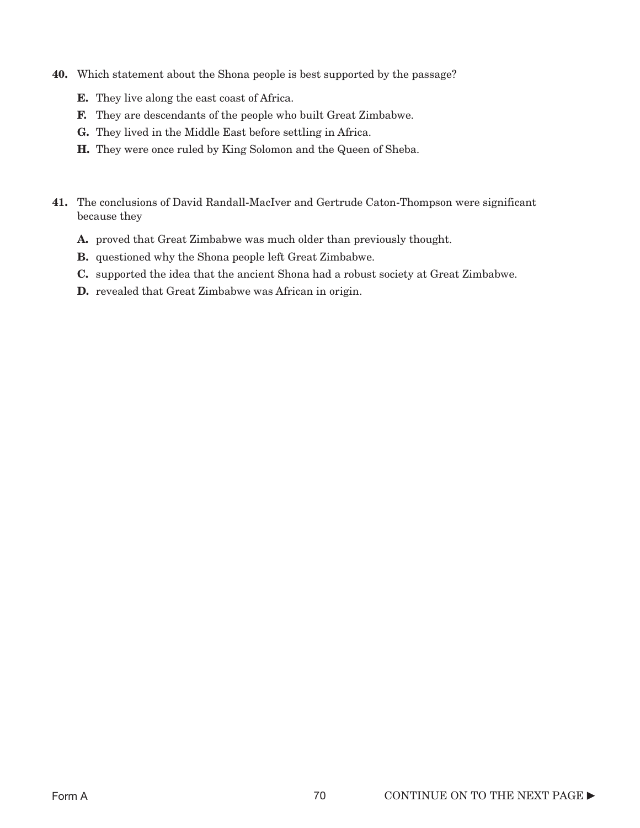- 40. Which statement about the Shona people is best supported by the passage?
	- E. They live along the east coast of Africa.
	- F. They are descendants of the people who built Great Zimbabwe.
	- G. They lived in the Middle East before settling in Africa.
	- H. They were once ruled by King Solomon and the Queen of Sheba.
- 41. The conclusions of David Randall-MacIver and Gertrude Caton-Thompson were significant because they
	- A. proved that Great Zimbabwe was much older than previously thought.
	- B. questioned why the Shona people left Great Zimbabwe.
	- C. supported the idea that the ancient Shona had a robust society at Great Zimbabwe.
	- D. revealed that Great Zimbabwe was African in origin.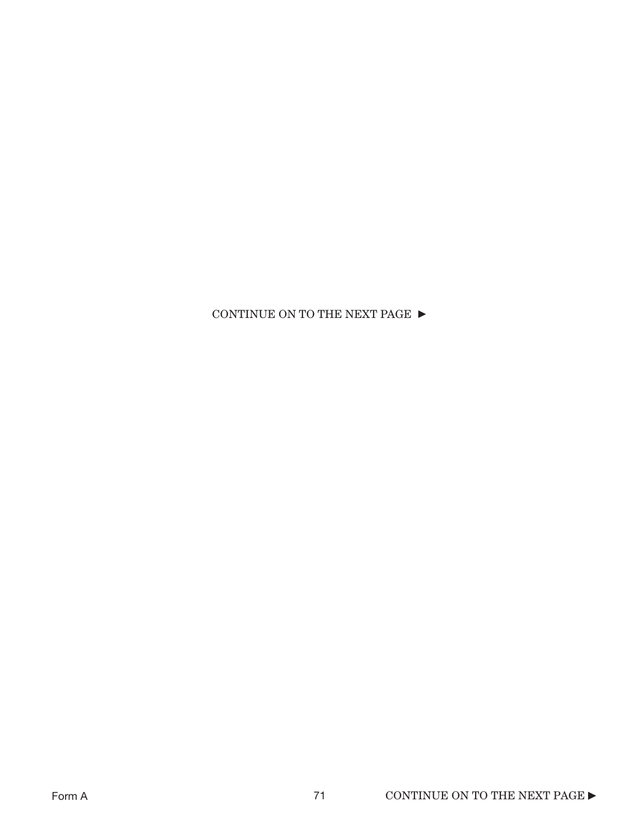### CONTINUE ON TO THE NEXT PAGE  $\blacktriangleright$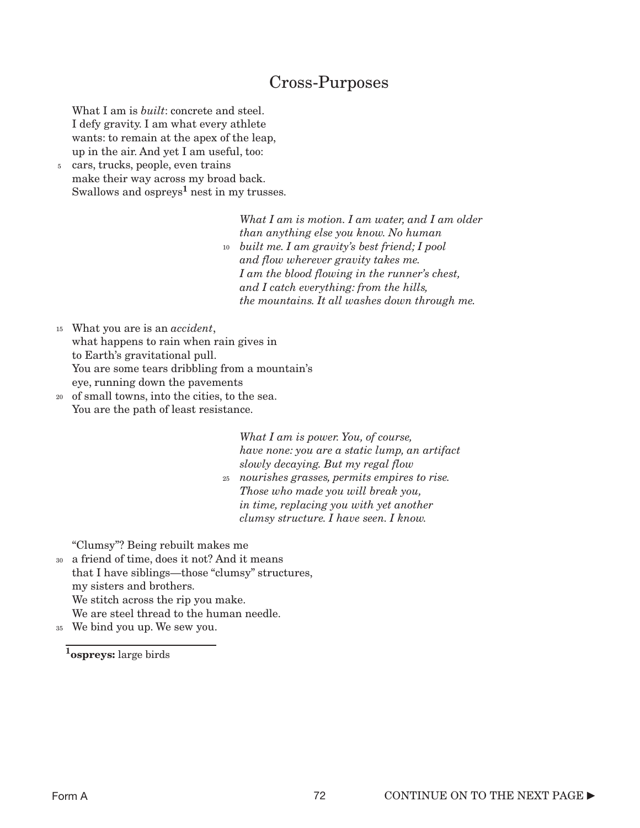## Cross-Purposes

What I am is *built*: concrete and steel. I defy gravity. I am what every athlete wants: to remain at the apex of the leap, up in the air. And yet I am useful, too:

<sup>5</sup> cars, trucks, people, even trains make their way across my broad back. Swallows and  $ospreys<sup>1</sup>$  nest in my trusses.

 *What I am is motion. I am water, and I am older than anything else you know. No human built me. I am gravity's best friend; I pool* 10  *and flow wherever gravity takes me. I am the blood flowing in the runner's chest, and I catch everything: from the hills, the mountains. It all washes down through me.*

What you are is an *accident*, 15 what happens to rain when rain gives in to Earth's gravitational pull. You are some tears dribbling from a mountain's eye, running down the pavements

of small towns, into the cities, to the sea. 20 You are the path of least resistance.

> *What I am is power. You, of course, have none: you are a static lump, an artifact slowly decaying. But my regal flow*

 *nourishes grasses, permits empires to rise.* 25  *Those who made you will break you, in time, replacing you with yet another clumsy structure. I have seen. I know.*

"Clumsy"? Being rebuilt makes me

- a friend of time, does it not? And it means 30 that I have siblings—those "clumsy" structures, my sisters and brothers. We stitch across the rip you make. We are steel thread to the human needle.
- We bind you up. We sew you. 35

1<sub>ospreys: large birds</sub>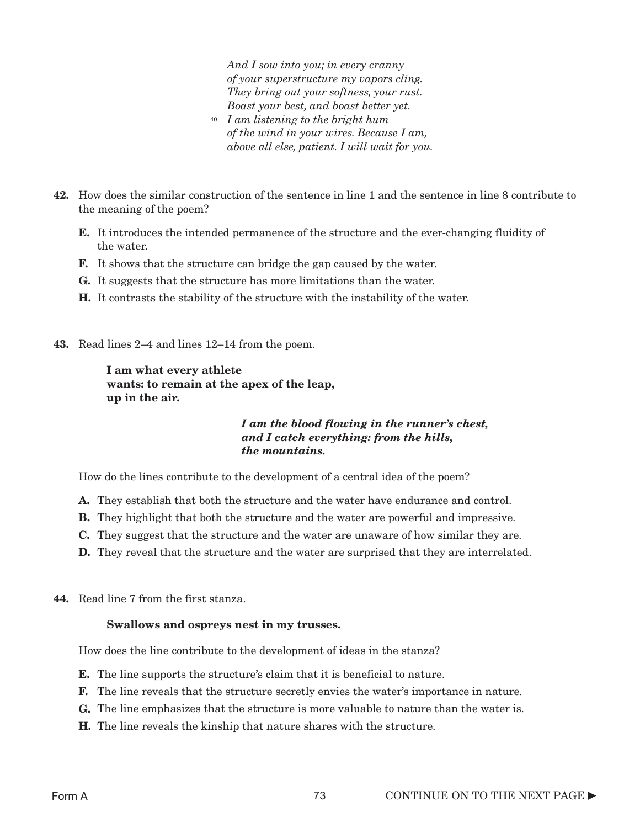*And I sow into you; in every cranny of your superstructure my vapors cling. They bring out your softness, your rust. Boast your best, and boast better yet.*

- *I am listening to the bright hum* 40  *of the wind in your wires. Because I am, above all else, patient. I will wait for you.*
- 42. How does the similar construction of the sentence in line 1 and the sentence in line 8 contribute to the meaning of the poem?
	- E. It introduces the intended permanence of the structure and the ever-changing fluidity of the water.
	- F. It shows that the structure can bridge the gap caused by the water.
	- G. It suggests that the structure has more limitations than the water.
	- H. It contrasts the stability of the structure with the instability of the water.
- 43. Read lines 2–4 and lines 12–14 from the poem.

### I am what every athlete wants: to remain at the apex of the leap, up in the air.

### *I am the blood flowing in the runner's chest, and I catch everything: from the hills, the mountains.*

How do the lines contribute to the development of a central idea of the poem?

- A. They establish that both the structure and the water have endurance and control.
- B. They highlight that both the structure and the water are powerful and impressive.
- C. They suggest that the structure and the water are unaware of how similar they are.
- **D.** They reveal that the structure and the water are surprised that they are interrelated.
- 44. Read line 7 from the first stanza.

#### Swallows and ospreys nest in my trusses.

How does the line contribute to the development of ideas in the stanza?

- E. The line supports the structure's claim that it is beneficial to nature.
- F. The line reveals that the structure secretly envies the water's importance in nature.
- G. The line emphasizes that the structure is more valuable to nature than the water is.
- H. The line reveals the kinship that nature shares with the structure.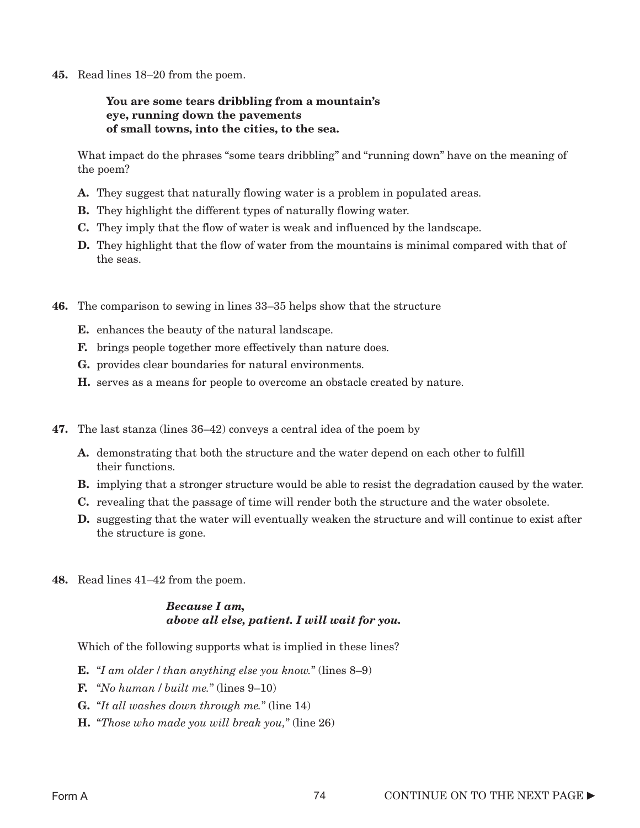45. Read lines 18–20 from the poem.

### You are some tears dribbling from a mountain's eye, running down the pavements of small towns, into the cities, to the sea.

What impact do the phrases "some tears dribbling" and "running down" have on the meaning of the poem?

- A. They suggest that naturally flowing water is a problem in populated areas.
- B. They highlight the different types of naturally flowing water.
- C. They imply that the flow of water is weak and influenced by the landscape.
- **D.** They highlight that the flow of water from the mountains is minimal compared with that of the seas.
- 46. The comparison to sewing in lines 33–35 helps show that the structure
	- E. enhances the beauty of the natural landscape.
	- F. brings people together more effectively than nature does.
	- G. provides clear boundaries for natural environments.
	- H. serves as a means for people to overcome an obstacle created by nature.
- 47. The last stanza (lines 36–42) conveys a central idea of the poem by
	- A. demonstrating that both the structure and the water depend on each other to fulfill their functions.
	- **B.** implying that a stronger structure would be able to resist the degradation caused by the water.
	- C. revealing that the passage of time will render both the structure and the water obsolete.
	- D. suggesting that the water will eventually weaken the structure and will continue to exist after the structure is gone.
- 48. Read lines 41–42 from the poem.

### *Because I am, above all else, patient. I will wait for you.*

Which of the following supports what is implied in these lines?

- E. "*I am older* / *than anything else you know.*" (lines 8–9)
- F. "*No human* / *built me.*" (lines 9–10)
- G. "*It all washes down through me.*" (line 14)
- H. "*Those who made you will break you,*" (line 26)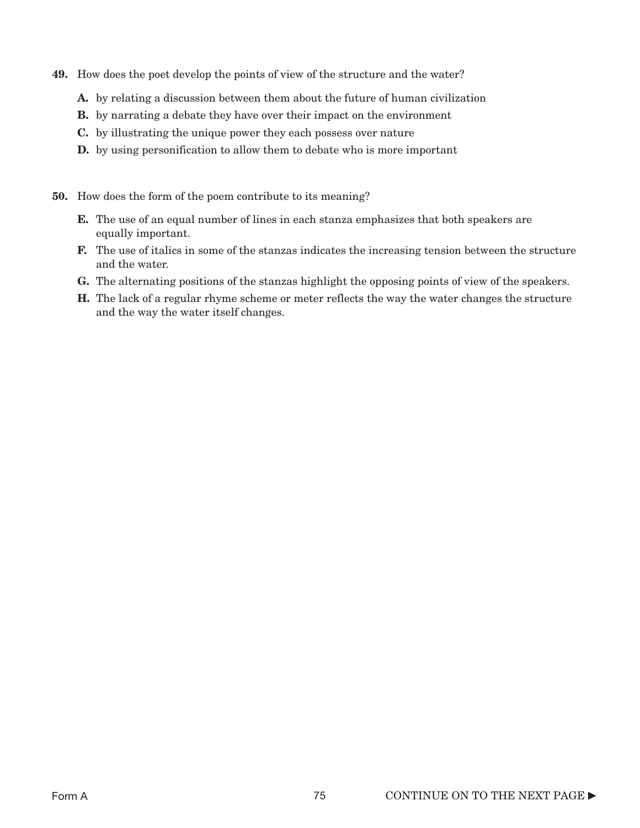- 49. How does the poet develop the points of view of the structure and the water?
	- A. by relating a discussion between them about the future of human civilization
	- **B.** by narrating a debate they have over their impact on the environment
	- C. by illustrating the unique power they each possess over nature
	- **D.** by using personification to allow them to debate who is more important
- 50. How does the form of the poem contribute to its meaning?
	- E. The use of an equal number of lines in each stanza emphasizes that both speakers are equally important.
	- F. The use of italics in some of the stanzas indicates the increasing tension between the structure and the water.
	- G. The alternating positions of the stanzas highlight the opposing points of view of the speakers.
	- H. The lack of a regular rhyme scheme or meter reflects the way the water changes the structure and the way the water itself changes.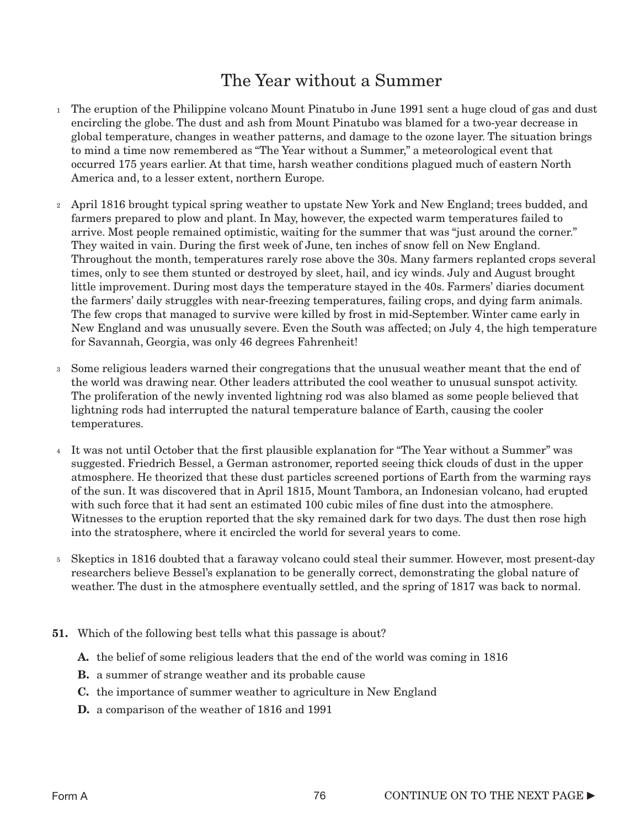## The Year without a Summer

- $_1$  The eruption of the Philippine volcano Mount Pinatubo in June 1991 sent a huge cloud of gas and dust encircling the globe. The dust and ash from Mount Pinatubo was blamed for a two-year decrease in global temperature, changes in weather patterns, and damage to the ozone layer. The situation brings to mind a time now remembered as "The Year without a Summer," a meteorological event that occurred 175 years earlier. At that time, harsh weather conditions plagued much of eastern North America and, to a lesser extent, northern Europe.
- April 1816 brought typical spring weather to upstate New York and New England; trees budded, and 2 farmers prepared to plow and plant. In May, however, the expected warm temperatures failed to arrive. Most people remained optimistic, waiting for the summer that was "just around the corner." They waited in vain. During the first week of June, ten inches of snow fell on New England. Throughout the month, temperatures rarely rose above the 30s. Many farmers replanted crops several times, only to see them stunted or destroyed by sleet, hail, and icy winds. July and August brought little improvement. During most days the temperature stayed in the 40s. Farmers' diaries document the farmers' daily struggles with near-freezing temperatures, failing crops, and dying farm animals. The few crops that managed to survive were killed by frost in mid-September. Winter came early in New England and was unusually severe. Even the South was affected; on July 4, the high temperature for Savannah, Georgia, was only 46 degrees Fahrenheit!
- <sup>3</sup> Some religious leaders warned their congregations that the unusual weather meant that the end of the world was drawing near. Other leaders attributed the cool weather to unusual sunspot activity. The proliferation of the newly invented lightning rod was also blamed as some people believed that lightning rods had interrupted the natural temperature balance of Earth, causing the cooler temperatures.
- It was not until October that the first plausible explanation for "The Year without a Summer" was 4 suggested. Friedrich Bessel, a German astronomer, reported seeing thick clouds of dust in the upper atmosphere. He theorized that these dust particles screened portions of Earth from the warming rays of the sun. It was discovered that in April 1815, Mount Tambora, an Indonesian volcano, had erupted with such force that it had sent an estimated 100 cubic miles of fine dust into the atmosphere. Witnesses to the eruption reported that the sky remained dark for two days. The dust then rose high into the stratosphere, where it encircled the world for several years to come.
- Skeptics in 1816 doubted that a faraway volcano could steal their summer. However, most present-day 5 researchers believe Bessel's explanation to be generally correct, demonstrating the global nature of weather. The dust in the atmosphere eventually settled, and the spring of 1817 was back to normal.
- 51. Which of the following best tells what this passage is about?
	- A. the belief of some religious leaders that the end of the world was coming in 1816
	- **B.** a summer of strange weather and its probable cause
	- C. the importance of summer weather to agriculture in New England
	- D. a comparison of the weather of 1816 and 1991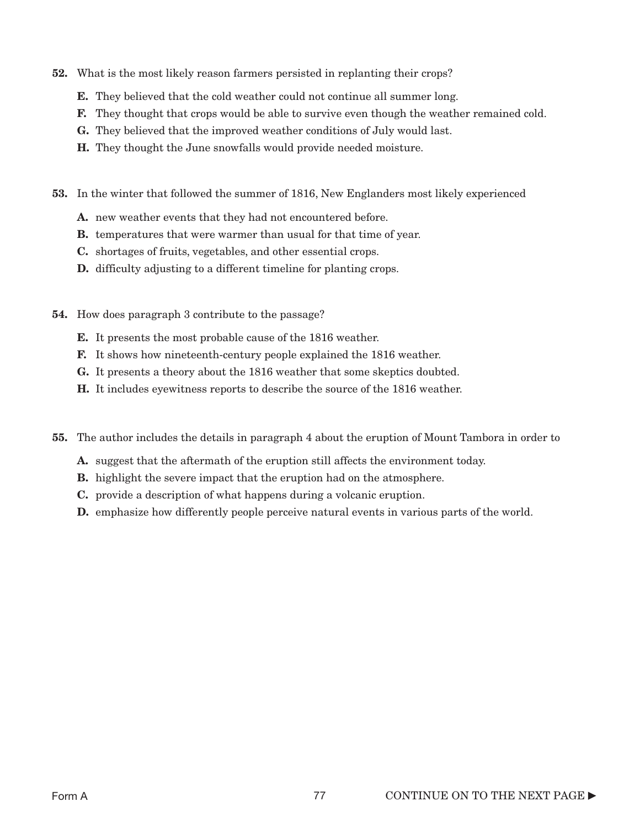- 52. What is the most likely reason farmers persisted in replanting their crops?
	- E. They believed that the cold weather could not continue all summer long.
	- F. They thought that crops would be able to survive even though the weather remained cold.
	- G. They believed that the improved weather conditions of July would last.
	- H. They thought the June snowfalls would provide needed moisture.
- 53. In the winter that followed the summer of 1816, New Englanders most likely experienced
	- A. new weather events that they had not encountered before.
	- B. temperatures that were warmer than usual for that time of year.
	- C. shortages of fruits, vegetables, and other essential crops.
	- D. difficulty adjusting to a different timeline for planting crops.
- 54. How does paragraph 3 contribute to the passage?
	- E. It presents the most probable cause of the 1816 weather.
	- F. It shows how nineteenth-century people explained the 1816 weather.
	- G. It presents a theory about the 1816 weather that some skeptics doubted.
	- H. It includes eyewitness reports to describe the source of the 1816 weather.
- 55. The author includes the details in paragraph 4 about the eruption of Mount Tambora in order to
	- A. suggest that the aftermath of the eruption still affects the environment today.
	- **B.** highlight the severe impact that the eruption had on the atmosphere.
	- C. provide a description of what happens during a volcanic eruption.
	- D. emphasize how differently people perceive natural events in various parts of the world.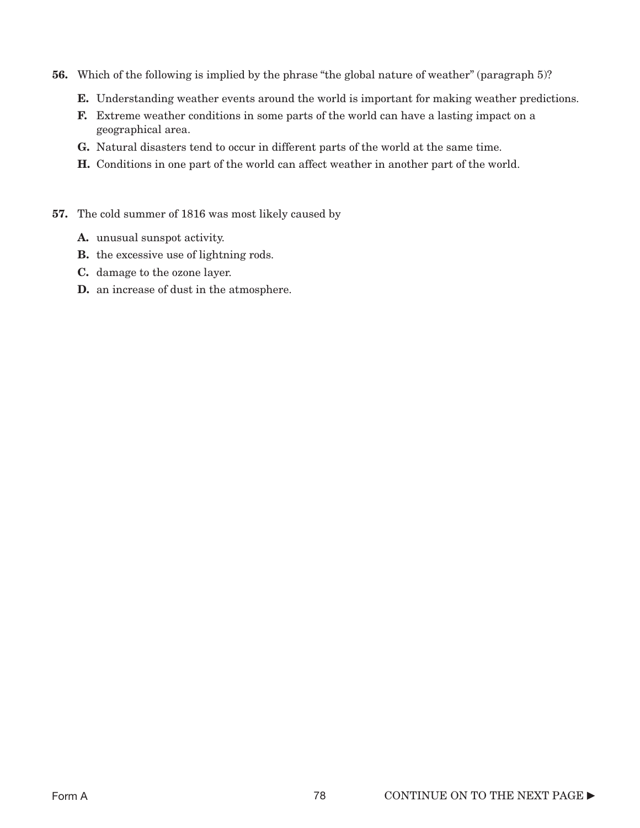- 56. Which of the following is implied by the phrase "the global nature of weather" (paragraph 5)?
	- E. Understanding weather events around the world is important for making weather predictions.
	- F. Extreme weather conditions in some parts of the world can have a lasting impact on a geographical area.
	- G. Natural disasters tend to occur in different parts of the world at the same time.
	- H. Conditions in one part of the world can affect weather in another part of the world.
- 57. The cold summer of 1816 was most likely caused by
	- A. unusual sunspot activity.
	- **B.** the excessive use of lightning rods.
	- C. damage to the ozone layer.
	- D. an increase of dust in the atmosphere.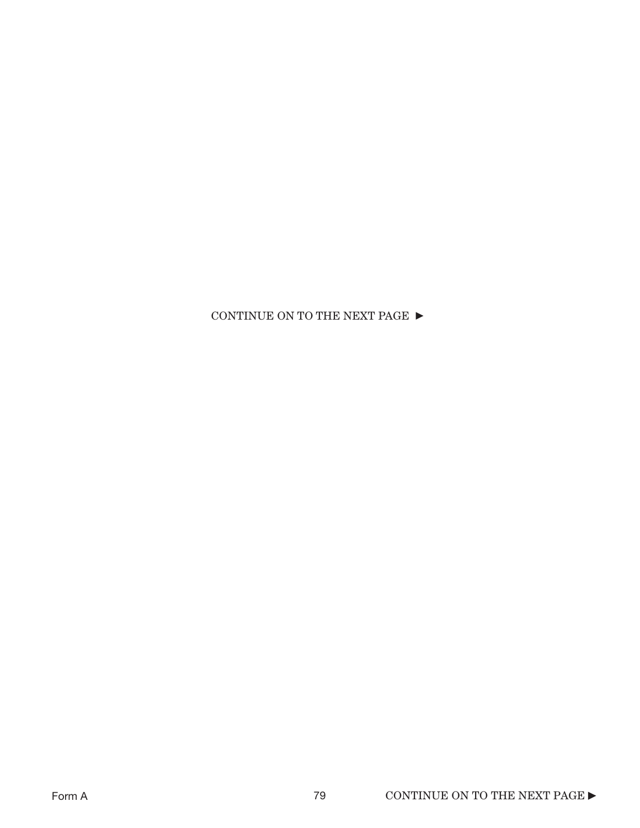### CONTINUE ON TO THE NEXT PAGE  $\blacktriangleright$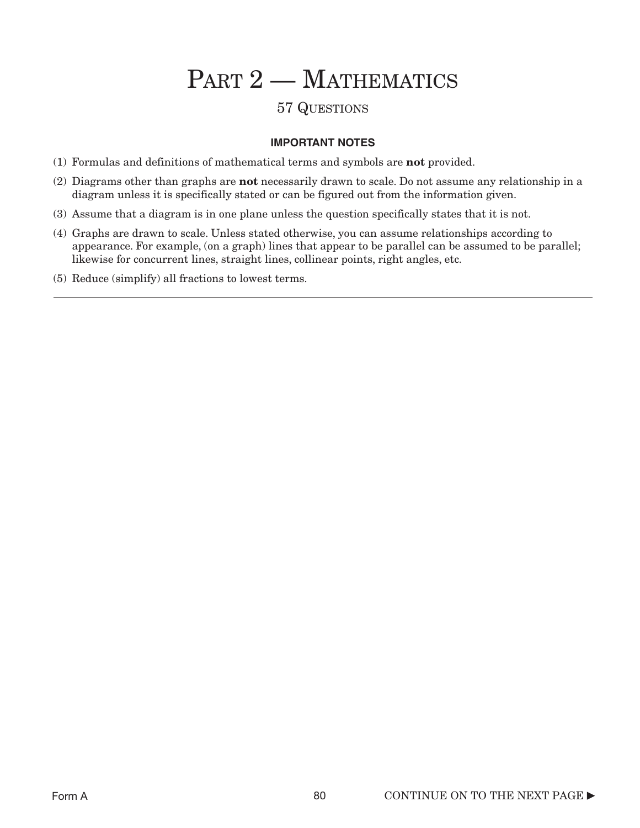# PART 2 - MATHEMATICS

### 57 QUESTIONS

### **IMPORTANT NOTES**

- (1) Formulas and definitions of mathematical terms and symbols are not provided.
- (2) Diagrams other than graphs are not necessarily drawn to scale. Do not assume any relationship in a diagram unless it is specifically stated or can be figured out from the information given.
- (3) Assume that a diagram is in one plane unless the question specifically states that it is not.
- (4) Graphs are drawn to scale. Unless stated otherwise, you can assume relationships according to appearance. For example, (on a graph) lines that appear to be parallel can be assumed to be parallel; likewise for concurrent lines, straight lines, collinear points, right angles, etc.
- (5) Reduce (simplify) all fractions to lowest terms.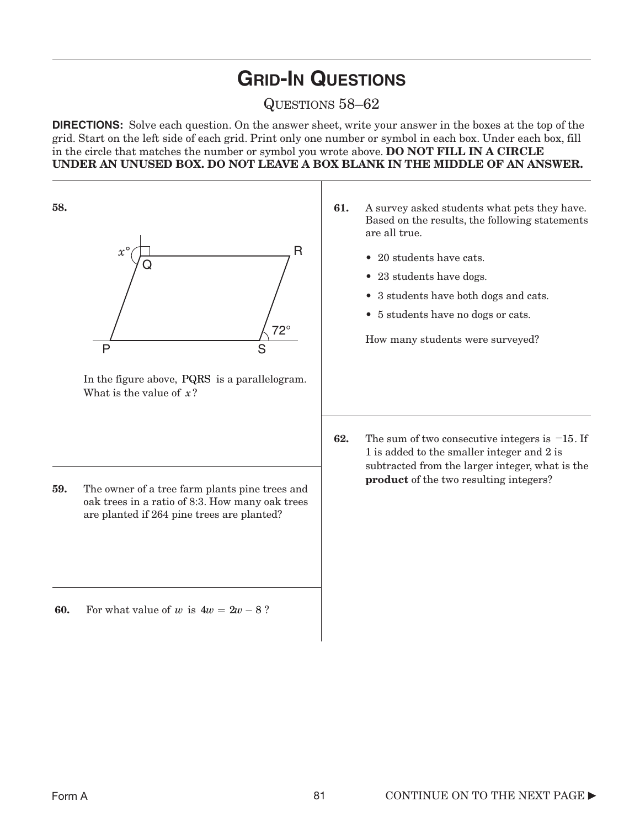# **GRID-IN QUESTIONS**

### QUESTIONS 58–62

**DIRECTIONS:** Solve each question. On the answer sheet, write your answer in the boxes at the top of the grid. Start on the left side of each grid. Print only one number or symbol in each box. Under each box, fill in the circle that matches the number or symbol you wrote above. DO NOT FILL IN A CIRCLE UNDER AN UNUSED BOX. DO NOT LEAVE A BOX BLANK IN THE MIDDLE OF AN ANSWER.

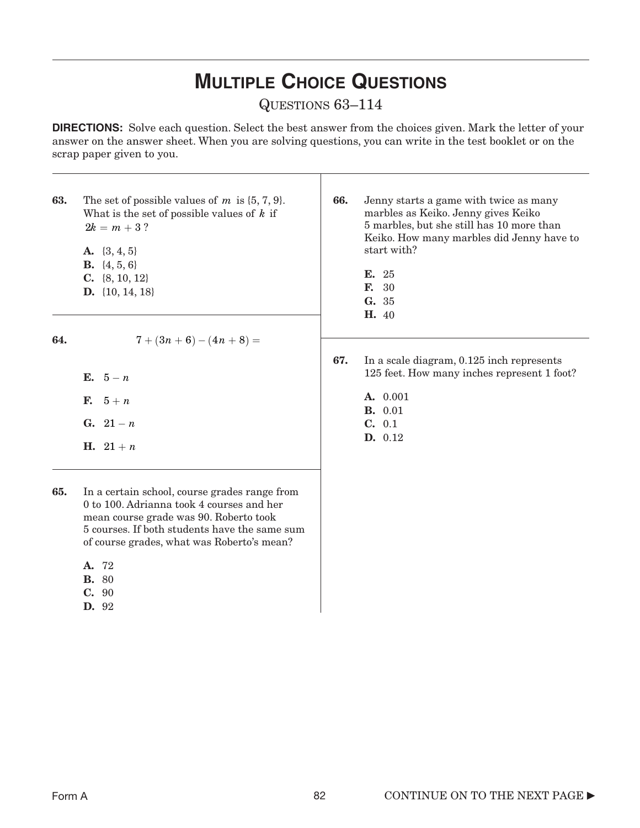# **MULTIPLE CHOICE QUESTIONS**

### QUESTIONS 63–114

**DIRECTIONS:** Solve each question. Select the best answer from the choices given. Mark the letter of your answer on the answer sheet. When you are solving questions, you can write in the test booklet or on the scrap paper given to you.

| 63. | The set of possible values of $m$ is $\{5, 7, 9\}$ .<br>What is the set of possible values of $k$ if<br>$2k = m + 3$ ?<br>A. $\{3, 4, 5\}$<br><b>B.</b> $\{4, 5, 6\}$<br><b>C.</b> $\{8, 10, 12\}$<br><b>D.</b> $\{10, 14, 18\}$ | 66. | Jenny starts a game with twice as many<br>marbles as Keiko. Jenny gives Keiko<br>5 marbles, but she still has 10 more than<br>Keiko. How many marbles did Jenny have to<br>start with?<br>E. 25<br><b>F.</b> 30<br>G. 35<br><b>H.</b> 40 |
|-----|----------------------------------------------------------------------------------------------------------------------------------------------------------------------------------------------------------------------------------|-----|------------------------------------------------------------------------------------------------------------------------------------------------------------------------------------------------------------------------------------------|
| 64. | $7+(3n+6)-(4n+8)=$                                                                                                                                                                                                               |     |                                                                                                                                                                                                                                          |
|     | E. $5-n$<br><b>F.</b> $5+n$<br><b>G.</b> $21 - n$<br><b>H.</b> $21 + n$                                                                                                                                                          | 67. | In a scale diagram, 0.125 inch represents<br>125 feet. How many inches represent 1 foot?<br>A. 0.001<br><b>B.</b> 0.01<br>C. 0.1<br>D. 0.12                                                                                              |

- 65. In a certain school, course grades range from 0 to 100. Adrianna took 4 courses and her mean course grade was 90. Roberto took 5 courses. If both students have the same sum of course grades, what was Roberto's mean?
	- A. 72
	- B. 80
	- C. 90
	- D. 92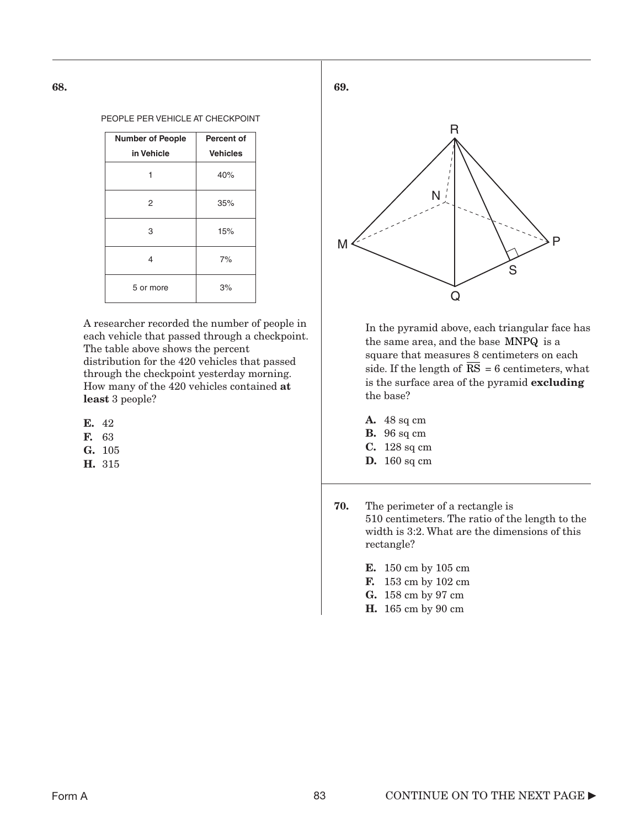#### PEOPLE PER VEHICLE AT CHECKPOINT

| <b>Number of People</b> | <b>Percent of</b> |
|-------------------------|-------------------|
| in Vehicle              | <b>Vehicles</b>   |
|                         | 40%               |
| 2                       | 35%               |
| 3                       | 15%               |
| 4                       | 7%                |
| 5 or more               | 3%                |

A researcher recorded the number of people in each vehicle that passed through a checkpoint. The table above shows the percent distribution for the 420 vehicles that passed through the checkpoint yesterday morning. How many of the 420 vehicles contained at least 3 people?

- E. 42
- F. 63
- G. 105
- H. 315



In the pyramid above, each triangular face has the same area, and the base MNPQ is a square that measures 8 centimeters on each side. If the length of  $RS = 6$  centimeters, what is the surface area of the pyramid excluding the base?

- A. 48 sq cm
- **B.** 96 sq cm
- C. 128 sq cm
- D. 160 sq cm
- 70. The perimeter of a rectangle is 510 centimeters. The ratio of the length to the width is 3:2. What are the dimensions of this rectangle?
	- E. 150 cm by 105 cm
	- F. 153 cm by 102 cm
	- G. 158 cm by 97 cm
	- H. 165 cm by 90 cm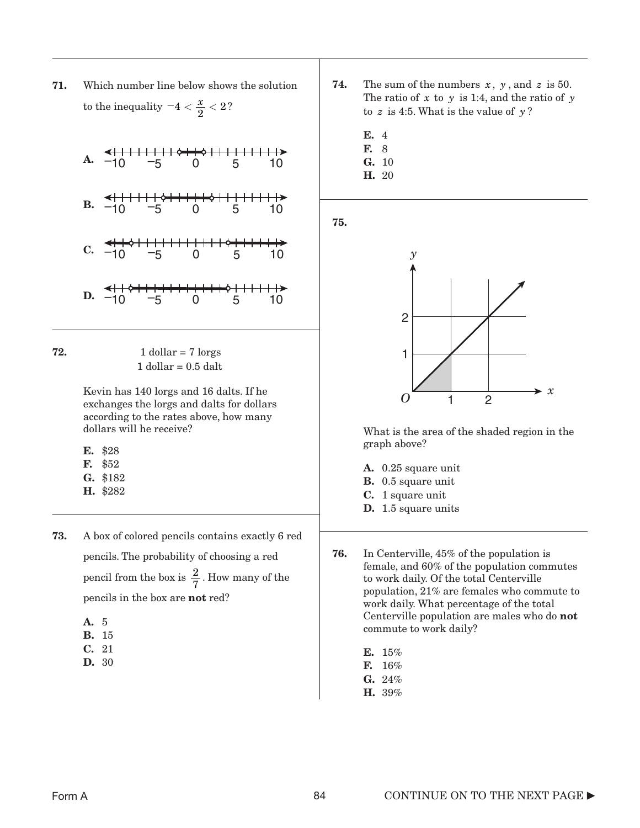71. Which number line below shows the solution to the inequality  $-4 < \frac{x}{2} < 2$ ?

A. 
$$
\frac{\leftarrow + \frac{1}{11} + \frac{1}{11} + \frac{1}{11} + \frac{1}{11} + \frac{1}{11} + \frac{1}{11} + \frac{1}{11} + \frac{1}{11} + \frac{1}{11} + \frac{1}{11} + \frac{1}{11} + \frac{1}{11} + \frac{1}{11} + \frac{1}{11} + \frac{1}{11} + \frac{1}{11} + \frac{1}{11} + \frac{1}{11} + \frac{1}{11} + \frac{1}{11} + \frac{1}{11} + \frac{1}{11} + \frac{1}{11} + \frac{1}{11} + \frac{1}{11} + \frac{1}{11} + \frac{1}{11} + \frac{1}{11} + \frac{1}{11} + \frac{1}{11} + \frac{1}{11} + \frac{1}{11} + \frac{1}{11} + \frac{1}{11} + \frac{1}{11} + \frac{1}{11} + \frac{1}{11} + \frac{1}{11} + \frac{1}{11} + \frac{1}{11} + \frac{1}{11} + \frac{1}{11} + \frac{1}{11} + \frac{1}{11} + \frac{1}{11} + \frac{1}{11} + \frac{1}{11} + \frac{1}{11} + \frac{1}{11} + \frac{1}{11} + \frac{1}{11} + \frac{1}{11} + \frac{1}{11} + \frac{1}{11} + \frac{1}{11} + \frac{1}{11} + \frac{1}{11} + \frac{1}{11} + \frac{1}{11} + \frac{1}{11} + \frac{1}{11} + \frac{1}{11} + \frac{1}{11} + \frac{1}{11} + \frac{1}{11} + \frac{1}{11} + \frac{1}{11} + \frac{1}{11} + \frac{1}{11} + \frac{1}{11} + \frac{1}{11} + \frac{1}{11} + \frac{1}{11} + \frac{1}{11} + \frac{1}{11} + \frac{1}{11} + \frac{1}{11} + \frac{1}{11} + \frac{1}{11} + \frac{1}{11} + \frac{1}{11} + \frac{1}{11} + \frac{1}{11} + \frac{1}{11}
$$

| 72. | 1 dollar = $7 \text{ lorges}$ |
|-----|-------------------------------|
|     | $1$ dollar = 0.5 dalt         |

Kevin has 140 lorgs and 16 dalts. If he exchanges the lorgs and dalts for dollars according to the rates above, how many dollars will he receive?

- E. \$28
- F. \$52
- G. \$182
- H. \$282
- 73. A box of colored pencils contains exactly 6 red pencils. The probability of choosing a red pencil from the box is  $\frac{2}{5}$ . How many of the pencils in the box are not red? 7
	- A. 5
	- B. 15
	- C. 21
	- D. 30
- **74.** The sum of the numbers  $x$ ,  $y$ , and  $z$  is 50. The ratio of  $x$  to  $y$  is 1:4, and the ratio of  $y$ to  $z$  is 4:5. What is the value of  $y$ ?
	- E. 4
	- F. 8
	- G. 10
	- H. 20

75.



What is the area of the shaded region in the graph above?

- A. 0.25 square unit
- **B.** 0.5 square unit
- C. 1 square unit
- D. 1.5 square units

76. In Centerville, 45% of the population is female, and 60% of the population commutes to work daily. Of the total Centerville population, 21% are females who commute to work daily. What percentage of the total Centerville population are males who do not commute to work daily?

- E. 15%
- F. 16%
- $\mathbf{G.}$  24%
- H. 39%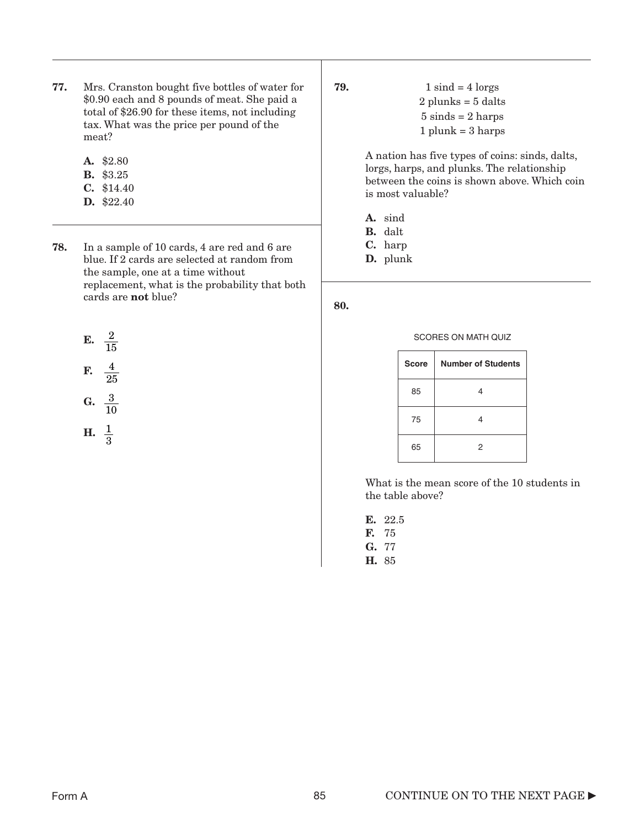- 77. Mrs. Cranston bought five bottles of water for \$0.90 each and 8 pounds of meat. She paid a total of \$26.90 for these items, not including tax. What was the price per pound of the meat?
	- A. \$2.80
	- B. \$3.25
	- C. \$14.40
	- D. \$22.40

78. In a sample of 10 cards, 4 are red and 6 are blue. If 2 cards are selected at random from the sample, one at a time without replacement, what is the probability that both cards are not blue?

$$
E. \frac{2}{15}
$$

$$
F. \quad \frac{4}{25}
$$

$$
G. \ \ \frac{3}{10}
$$

$$
H. \ \ \frac{1}{3}
$$

**79.**  $1 \text{ sind} = 4 \text{ lorgs}$ 2 plunks = 5 dalts  $5 \text{ sinds} = 2 \text{ harps}$  $1$  plunk =  $3$  harps

> A nation has five types of coins: sinds, dalts, lorgs, harps, and plunks. The relationship between the coins is shown above. Which coin is most valuable?

A. sind

B. dalt

C. harp

D. plunk

80.

SCORES ON MATH QUIZ

| <b>Score</b> | <b>Number of Students</b> |  |  |
|--------------|---------------------------|--|--|
| 85           |                           |  |  |
| 75           |                           |  |  |
| 65           | 2                         |  |  |

What is the mean score of the 10 students in the table above?

E. 22.5 F. 75

G. 77

H. 85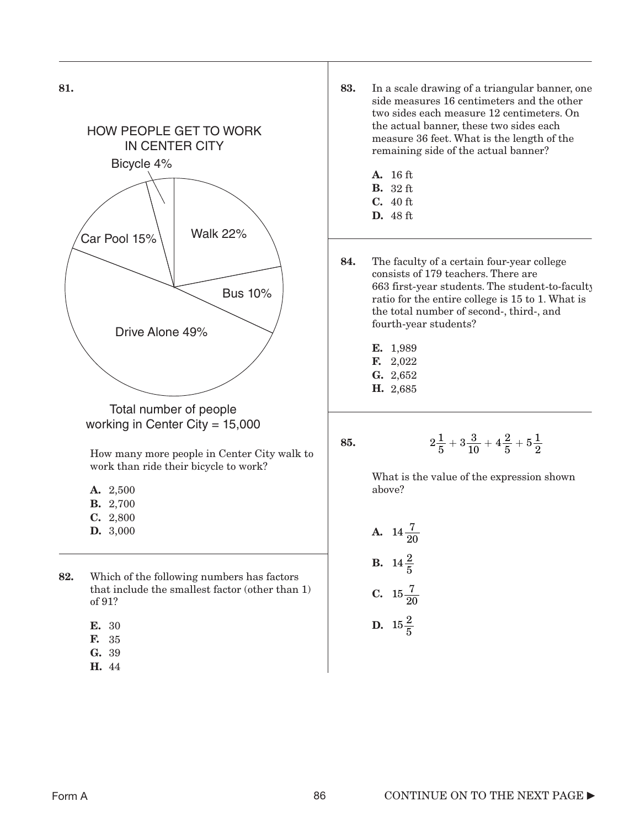

- A. 2,500
- B. 2,700 C. 2,800
- D. 3,000
- 82. Which of the following numbers has factors that include the smallest factor (other than 1) of 91?
	- E. 30
	- F. 35
	- G. 39
	- H. 44
- 83. In a scale drawing of a triangular banner, one side measures 16 centimeters and the other two sides each measure 12 centimeters. On the actual banner, these two sides each measure 36 feet. What is the length of the remaining side of the actual banner?
	- A. 16 ft
	- B. 32 ft
	- C. 40 ft
	- D. 48 ft
- 84. The faculty of a certain four-year college consists of 179 teachers. There are 663 first-year students. The student-to-faculty ratio for the entire college is 15 to 1. What is the total number of second-, third-, and fourth-year students?
	- E. 1,989
	- F. 2,022
	- G. 2,652
	- H. 2,685

$$
2\frac{1}{5}+3\frac{3}{10}+4\frac{2}{5}+5\frac{1}{2}
$$

What is the value of the expression shown above?

**A.** 
$$
14\frac{7}{20}
$$
  
**B.**  $14\frac{2}{5}$   
**C.**  $15\frac{7}{20}$   
**D.**  $15\frac{2}{5}$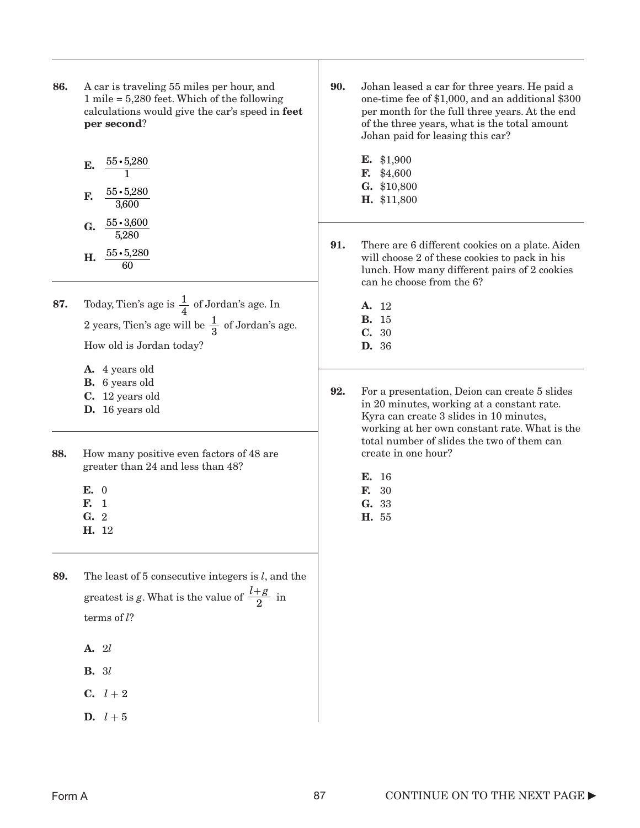- 86. A car is traveling 55 miles per hour, and 1 mile = 5,280 feet. Which of the following calculations would give the car's speed in feet per second?
	- E.  $\frac{55 \cdot 5,280}{1}$ F. G.  $\frac{55 \cdot 3,600}{5000}$ 1  $\frac{55 \cdot 5,280}{0.000}$ 3,600 5,280
	- **H.**  $\frac{55 \cdot 5,280}{c_0}$ 60
- **87.** Today, Tien's age is  $\frac{1}{4}$  of Jordan's age. In 2 years, Tien's age will be  $\frac{1}{2}$  of Jordan's age. How old is Jordan today? 4 3
	- A. 4 years old
	- B. 6 years old
	- C. 12 years old
	- D. 16 years old
- 88. How many positive even factors of 48 are greater than 24 and less than 48?
	- E. 0
	- F. 1
	- G. 2
	- H. 12
- 89. The least of 5 consecutive integers is *l*, and the greatest is g. What is the value of  $\frac{l+g}{g}$  in terms of *l*? 2
	- A. 2*l*
	- B. 3*l*
	- $C. \quad l+2$
	- D. *l* + 5
- 90. Johan leased a car for three years. He paid a one-time fee of \$1,000, and an additional \$300 per month for the full three years. At the end of the three years, what is the total amount Johan paid for leasing this car?
	- E. \$1,900 F. \$4,600 G. \$10,800
	- H. \$11,800
- 91. There are 6 different cookies on a plate. Aiden will choose 2 of these cookies to pack in his lunch. How many different pairs of 2 cookies can he choose from the 6?
	- A. 12
	- B. 15
	- C. 30 D. 36
- 92. For a presentation, Deion can create 5 slides in 20 minutes, working at a constant rate. Kyra can create 3 slides in 10 minutes, working at her own constant rate. What is the total number of slides the two of them can create in one hour?
	- E. 16
	- F. 30
	- G. 33
	- H. 55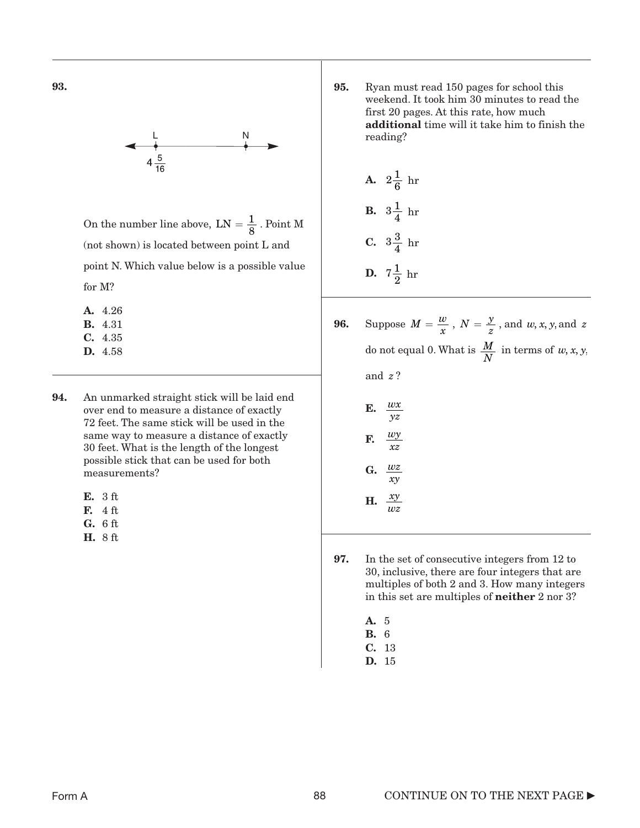

On the number line above,  $LN = \frac{1}{8}$ . Point M (not shown) is located between point L and point N. Which value below is a possible value for M?

A. 4.26 B. 4.31 C. 4.35 D. 4.58

- 94. An unmarked straight stick will be laid end over end to measure a distance of exactly 72 feet. The same stick will be used in the same way to measure a distance of exactly 30 feet. What is the length of the longest possible stick that can be used for both measurements?
	- E. 3 ft
	- F. 4 ft
	- G. 6 ft
	- H. 8 ft

95. Ryan must read 150 pages for school this weekend. It took him 30 minutes to read the first 20 pages. At this rate, how much additional time will it take him to finish the reading?

**A.** 
$$
2\frac{1}{6}
$$
 hr  
\n**B.**  $3\frac{1}{4}$  hr  
\n**C.**  $3\frac{3}{4}$  hr  
\n**D.**  $7\frac{1}{2}$  hr

- **96.** Suppose  $M = \frac{w}{x}$ ,  $N = \frac{y}{z}$ , and  $w, x, y$ , and  $z$ do not equal 0. What is  $\frac{M}{N}$  in terms of *w*, *x*, *y*, and ? *z*
	- E. F. G. *wx yz wy xz wz xy*  $\frac{xy}{yx}$
	- H. *wz*
- 97. In the set of consecutive integers from 12 to 30, inclusive, there are four integers that are multiples of both 2 and 3. How many integers in this set are multiples of neither 2 nor 3?
	- A. 5
	- B. 6
	- C. 13
	- D. 15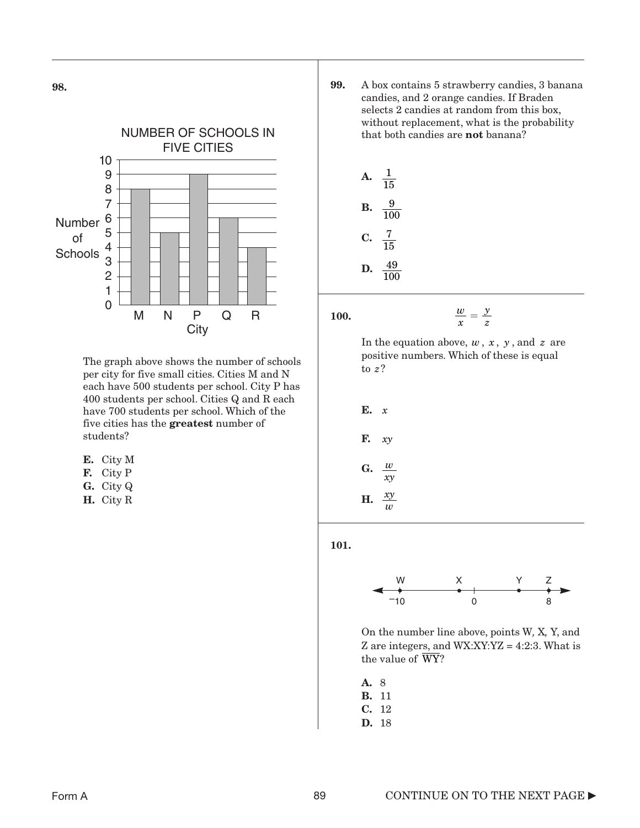

The graph above shows the number of schools per city for five small cities. Cities M and N each have 500 students per school. City P has 400 students per school. Cities Q and R each have 700 students per school. Which of the five cities has the greatest number of students?

| ш. |  |  |
|----|--|--|
|----|--|--|

- F. City P
- G. City Q
- H. City R

99. A box contains 5 strawberry candies, 3 banana candies, and 2 orange candies. If Braden selects 2 candies at random from this box, without replacement, what is the probability that both candies are not banana?

**A.** 
$$
\frac{1}{15}
$$
  
**B.**  $\frac{9}{100}$   
**C.**  $\frac{7}{15}$   
**D.**  $\frac{49}{100}$ 

100.

 $\frac{w}{x}$  =

In the equation above,  $w, x, y$ , and  $z$  are positive numbers. Which of these is equal to ? *z*

*y z*

E. *x* F. G. H.  $\frac{xy}{w}$  *xy w xy w*

101.



On the number line above, points W*,* X*,* Y, and Z are integers, and WX:XY:YZ = 4:2:3. What is the value of WY?

| А. | 8  |
|----|----|
| в. | 11 |
| С. | 12 |
| D. | 18 |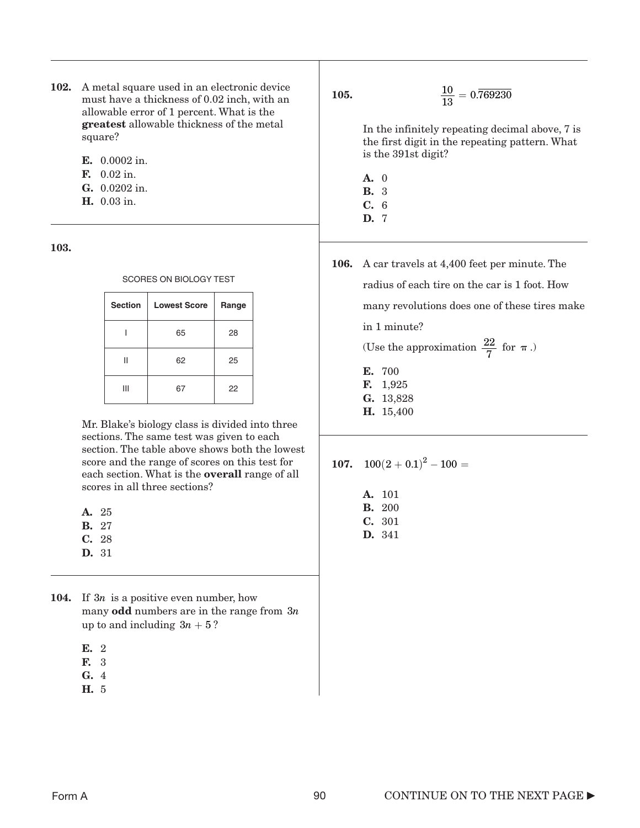- 102. A metal square used in an electronic device must have a thickness of 0.02 inch, with an allowable error of 1 percent. What is the greatest allowable thickness of the metal square?
	- E. 0.0002 in.
	- F. 0.02 in.
	- G. 0.0202 in.
	- H. 0.03 in.

| SCORES ON BIOLOGY TEST |                     |       |  |
|------------------------|---------------------|-------|--|
| <b>Section</b>         | <b>Lowest Score</b> | Range |  |
|                        | 65                  | 28    |  |
| н                      | 62                  | 25    |  |
|                        |                     | 22    |  |

Mr. Blake's biology class is divided into three sections. The same test was given to each section. The table above shows both the lowest score and the range of scores on this test for each section. What is the overall range of all scores in all three sections?

- B. 27
- C. 28
- D. 31
- **104.** If  $3n$  is a positive even number, how many odd numbers are in the range from 3*n* up to and including  $3n + 5$ ?
	- E. 2
	- F. 3
	- G. 4
	- H. 5

105.  $\frac{10}{13} = 0.\overline{769230}$ 

> In the infinitely repeating decimal above, 7 is the first digit in the repeating pattern. What is the 391st digit?

- A. 0 B. 3
- C. 6
- D. 7
- 106. A car travels at 4,400 feet per minute. The radius of each tire on the car is 1 foot. How many revolutions does one of these tires make in 1 minute?

(Use the approximation  $\frac{22}{7}$  for  $\pi$ .)

- E. 700 F. 1,925 G. 13,828
- H. 15,400

$$
107. \quad 100(2+0.1)^2-100=
$$

A. 101 B. 200 C. 301 D. 341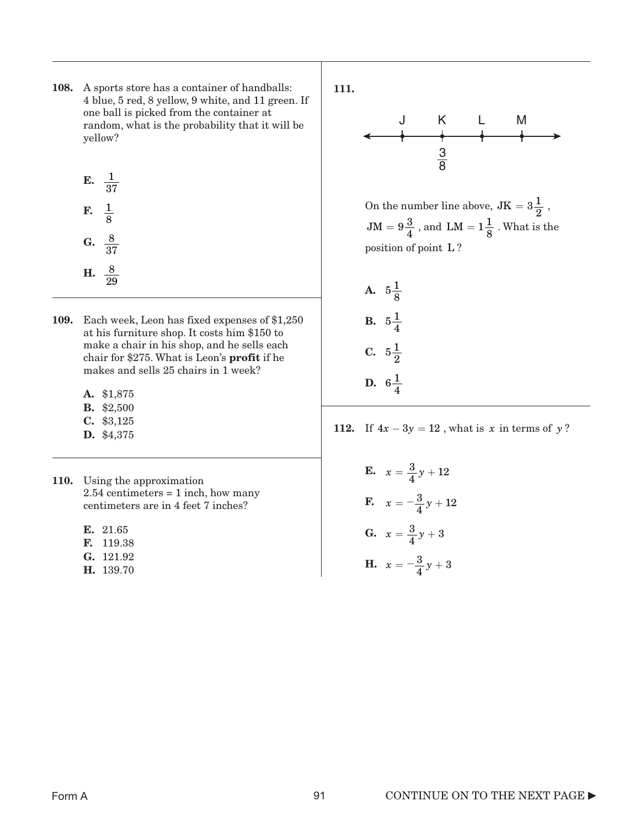- 108. A sports store has a container of handballs: 4 blue, 5 red, 8 yellow, 9 white, and 11 green. If one ball is picked from the container at random, what is the probability that it will be yellow?
	- E.  $\frac{1}{37}$ F. G.  $\frac{8}{37}$ H.  $\frac{8}{29}$  $\frac{1}{\circ}$ 8
- 109. Each week, Leon has fixed expenses of \$1,250 at his furniture shop. It costs him \$150 to make a chair in his shop, and he sells each chair for \$275. What is Leon's profit if he makes and sells 25 chairs in 1 week?
	- A. \$1,875
	- B. \$2,500
	- C. \$3,125
	- D. \$4,375
- 110. Using the approximation  $2.54$  centimeters = 1 inch, how many centimeters are in 4 feet 7 inches?
	- E. 21.65
	- F. 119.38
	- G. 121.92
	- H. 139.70



On the number line above,  $JK = 3\frac{1}{2}$ ,  $JM = 9\frac{3}{4}$ , and  $LM = 1\frac{1}{8}$ . What is the position of point L?

A.  $5\frac{1}{8}$ **B.**  $5\frac{1}{4}$ C.  $5\frac{1}{2}$ **D.**  $6\frac{1}{4}$ 

112. If  $4x - 3y = 12$ , what is *x* in terms of *y*?

E.  $x = \frac{3}{4}y + 12$ **F.**  $x = -\frac{3}{4}y + 12$ **G.**  $x = \frac{3}{4}y + 3$ **H.**  $x = -\frac{3}{4}y + 3$